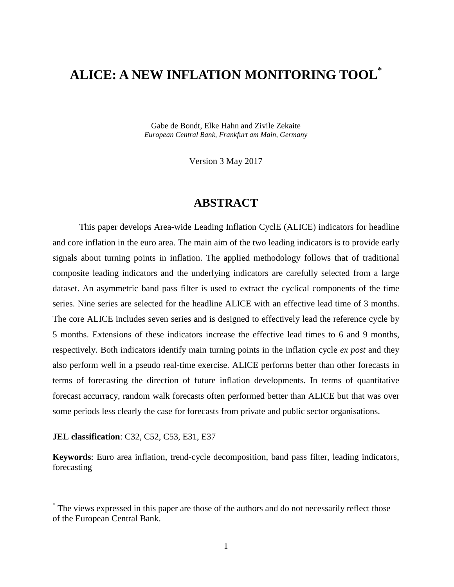# **ALICE: A NEW INFLATION MONITORING TOOL\***

Gabe de Bondt, Elke Hahn and Zivile Zekaite *European Central Bank, Frankfurt am Main, Germany*

Version 3 May 2017

### **ABSTRACT**

This paper develops Area-wide Leading Inflation CyclE (ALICE) indicators for headline and core inflation in the euro area. The main aim of the two leading indicators is to provide early signals about turning points in inflation. The applied methodology follows that of traditional composite leading indicators and the underlying indicators are carefully selected from a large dataset. An asymmetric band pass filter is used to extract the cyclical components of the time series. Nine series are selected for the headline ALICE with an effective lead time of 3 months. The core ALICE includes seven series and is designed to effectively lead the reference cycle by 5 months. Extensions of these indicators increase the effective lead times to 6 and 9 months, respectively. Both indicators identify main turning points in the inflation cycle *ex post* and they also perform well in a pseudo real-time exercise. ALICE performs better than other forecasts in terms of forecasting the direction of future inflation developments. In terms of quantitative forecast accurracy, random walk forecasts often performed better than ALICE but that was over some periods less clearly the case for forecasts from private and public sector organisations.

#### **JEL classification**: C32, C52, C53, E31, E37

**Keywords**: Euro area inflation, trend-cycle decomposition, band pass filter, leading indicators, forecasting

<sup>\*</sup> The views expressed in this paper are those of the authors and do not necessarily reflect those of the European Central Bank.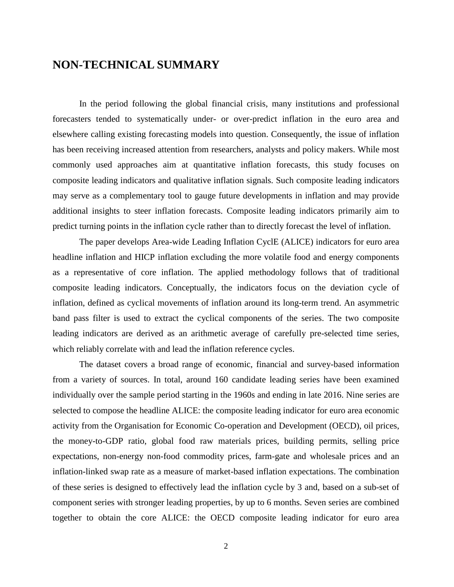### **NON-TECHNICAL SUMMARY**

In the period following the global financial crisis, many institutions and professional forecasters tended to systematically under- or over-predict inflation in the euro area and elsewhere calling existing forecasting models into question. Consequently, the issue of inflation has been receiving increased attention from researchers, analysts and policy makers. While most commonly used approaches aim at quantitative inflation forecasts, this study focuses on composite leading indicators and qualitative inflation signals. Such composite leading indicators may serve as a complementary tool to gauge future developments in inflation and may provide additional insights to steer inflation forecasts. Composite leading indicators primarily aim to predict turning points in the inflation cycle rather than to directly forecast the level of inflation.

The paper develops Area-wide Leading Inflation CyclE (ALICE) indicators for euro area headline inflation and HICP inflation excluding the more volatile food and energy components as a representative of core inflation. The applied methodology follows that of traditional composite leading indicators. Conceptually, the indicators focus on the deviation cycle of inflation, defined as cyclical movements of inflation around its long-term trend. An asymmetric band pass filter is used to extract the cyclical components of the series. The two composite leading indicators are derived as an arithmetic average of carefully pre-selected time series, which reliably correlate with and lead the inflation reference cycles.

The dataset covers a broad range of economic, financial and survey-based information from a variety of sources. In total, around 160 candidate leading series have been examined individually over the sample period starting in the 1960s and ending in late 2016. Nine series are selected to compose the headline ALICE: the composite leading indicator for euro area economic activity from the Organisation for Economic Co-operation and Development (OECD), oil prices, the money-to-GDP ratio, global food raw materials prices, building permits, selling price expectations, non-energy non-food commodity prices, farm-gate and wholesale prices and an inflation-linked swap rate as a measure of market-based inflation expectations. The combination of these series is designed to effectively lead the inflation cycle by 3 and, based on a sub-set of component series with stronger leading properties, by up to 6 months. Seven series are combined together to obtain the core ALICE: the OECD composite leading indicator for euro area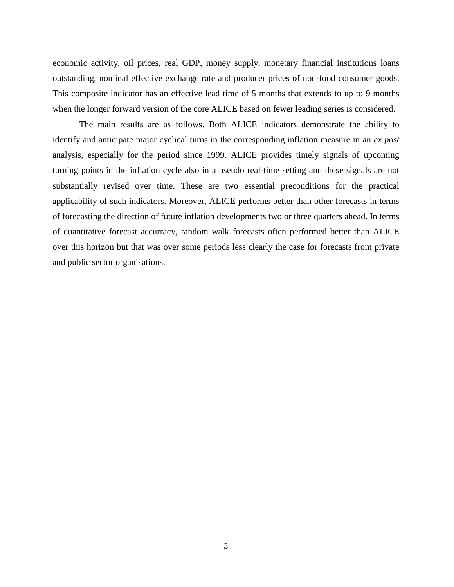economic activity, oil prices, real GDP, money supply, monetary financial institutions loans outstanding, nominal effective exchange rate and producer prices of non-food consumer goods. This composite indicator has an effective lead time of 5 months that extends to up to 9 months when the longer forward version of the core ALICE based on fewer leading series is considered.

The main results are as follows. Both ALICE indicators demonstrate the ability to identify and anticipate major cyclical turns in the corresponding inflation measure in an *ex post* analysis, especially for the period since 1999. ALICE provides timely signals of upcoming turning points in the inflation cycle also in a pseudo real-time setting and these signals are not substantially revised over time. These are two essential preconditions for the practical applicability of such indicators. Moreover, ALICE performs better than other forecasts in terms of forecasting the direction of future inflation developments two or three quarters ahead. In terms of quantitative forecast accurracy, random walk forecasts often performed better than ALICE over this horizon but that was over some periods less clearly the case for forecasts from private and public sector organisations.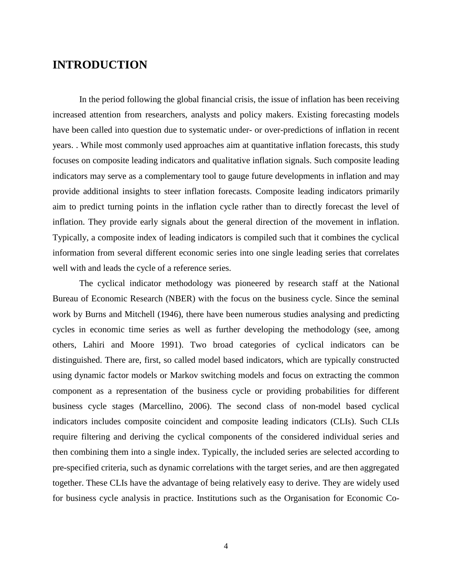### **INTRODUCTION**

In the period following the global financial crisis, the issue of inflation has been receiving increased attention from researchers, analysts and policy makers. Existing forecasting models have been called into question due to systematic under- or over-predictions of inflation in recent years. . While most commonly used approaches aim at quantitative inflation forecasts, this study focuses on composite leading indicators and qualitative inflation signals. Such composite leading indicators may serve as a complementary tool to gauge future developments in inflation and may provide additional insights to steer inflation forecasts. Composite leading indicators primarily aim to predict turning points in the inflation cycle rather than to directly forecast the level of inflation. They provide early signals about the general direction of the movement in inflation. Typically, a composite index of leading indicators is compiled such that it combines the cyclical information from several different economic series into one single leading series that correlates well with and leads the cycle of a reference series.

The cyclical indicator methodology was pioneered by research staff at the National Bureau of Economic Research (NBER) with the focus on the business cycle. Since the seminal work by Burns and Mitchell (1946), there have been numerous studies analysing and predicting cycles in economic time series as well as further developing the methodology (see, among others, Lahiri and Moore 1991). Two broad categories of cyclical indicators can be distinguished. There are, first, so called model based indicators, which are typically constructed using dynamic factor models or Markov switching models and focus on extracting the common component as a representation of the business cycle or providing probabilities for different business cycle stages (Marcellino, 2006). The second class of non-model based cyclical indicators includes composite coincident and composite leading indicators (CLIs). Such CLIs require filtering and deriving the cyclical components of the considered individual series and then combining them into a single index. Typically, the included series are selected according to pre-specified criteria, such as dynamic correlations with the target series, and are then aggregated together. These CLIs have the advantage of being relatively easy to derive. They are widely used for business cycle analysis in practice. Institutions such as the Organisation for Economic Co-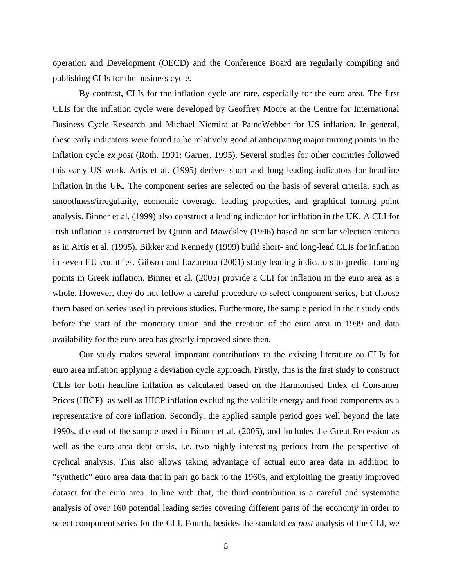operation and Development (OECD) and the Conference Board are regularly compiling and publishing CLIs for the business cycle.

By contrast, CLIs for the inflation cycle are rare, especially for the euro area. The first CLIs for the inflation cycle were developed by Geoffrey Moore at the Centre for International Business Cycle Research and Michael Niemira at PaineWebber for US inflation. In general, these early indicators were found to be relatively good at anticipating major turning points in the inflation cycle *ex post* (Roth, 1991; Garner, 1995). Several studies for other countries followed this early US work. Artis et al. (1995) derives short and long leading indicators for headline inflation in the UK. The component series are selected on the basis of several criteria, such as smoothness/irregularity, economic coverage, leading properties, and graphical turning point analysis. Binner et al. (1999) also construct a leading indicator for inflation in the UK. A CLI for Irish inflation is constructed by Quinn and Mawdsley (1996) based on similar selection criteria as in Artis et al. (1995). Bikker and Kennedy (1999) build short- and long-lead CLIs for inflation in seven EU countries. Gibson and Lazaretou (2001) study leading indicators to predict turning points in Greek inflation. Binner et al. (2005) provide a CLI for inflation in the euro area as a whole. However, they do not follow a careful procedure to select component series, but choose them based on series used in previous studies. Furthermore, the sample period in their study ends before the start of the monetary union and the creation of the euro area in 1999 and data availability for the euro area has greatly improved since then.

Our study makes several important contributions to the existing literature on CLIs for euro area inflation applying a deviation cycle approach. Firstly, this is the first study to construct CLIs for both headline inflation as calculated based on the Harmonised Index of Consumer Prices (HICP) as well as HICP inflation excluding the volatile energy and food components as a representative of core inflation. Secondly, the applied sample period goes well beyond the late 1990s, the end of the sample used in Binner et al. (2005), and includes the Great Recession as well as the euro area debt crisis, i.e. two highly interesting periods from the perspective of cyclical analysis. This also allows taking advantage of actual euro area data in addition to "synthetic" euro area data that in part go back to the 1960s, and exploiting the greatly improved dataset for the euro area. In line with that, the third contribution is a careful and systematic analysis of over 160 potential leading series covering different parts of the economy in order to select component series for the CLI. Fourth, besides the standard *ex post* analysis of the CLI, we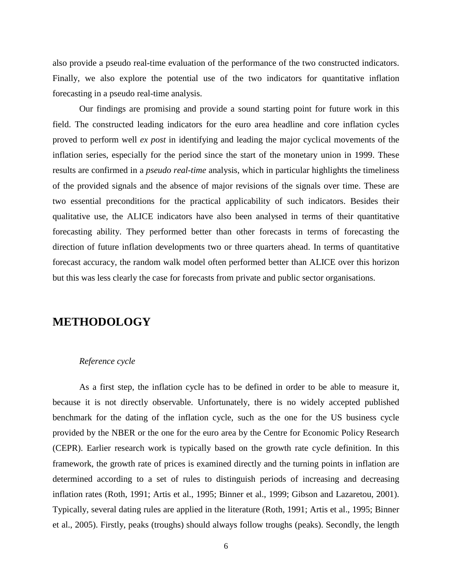also provide a pseudo real-time evaluation of the performance of the two constructed indicators. Finally, we also explore the potential use of the two indicators for quantitative inflation forecasting in a pseudo real-time analysis.

Our findings are promising and provide a sound starting point for future work in this field. The constructed leading indicators for the euro area headline and core inflation cycles proved to perform well *ex post* in identifying and leading the major cyclical movements of the inflation series, especially for the period since the start of the monetary union in 1999. These results are confirmed in a *pseudo real-time* analysis, which in particular highlights the timeliness of the provided signals and the absence of major revisions of the signals over time. These are two essential preconditions for the practical applicability of such indicators. Besides their qualitative use, the ALICE indicators have also been analysed in terms of their quantitative forecasting ability. They performed better than other forecasts in terms of forecasting the direction of future inflation developments two or three quarters ahead. In terms of quantitative forecast accuracy, the random walk model often performed better than ALICE over this horizon but this was less clearly the case for forecasts from private and public sector organisations.

## **METHODOLOGY**

#### *Reference cycle*

As a first step, the inflation cycle has to be defined in order to be able to measure it, because it is not directly observable. Unfortunately, there is no widely accepted published benchmark for the dating of the inflation cycle, such as the one for the US business cycle provided by the NBER or the one for the euro area by the Centre for Economic Policy Research (CEPR). Earlier research work is typically based on the growth rate cycle definition. In this framework, the growth rate of prices is examined directly and the turning points in inflation are determined according to a set of rules to distinguish periods of increasing and decreasing inflation rates (Roth, 1991; Artis et al., 1995; Binner et al., 1999; Gibson and Lazaretou, 2001). Typically, several dating rules are applied in the literature (Roth, 1991; Artis et al., 1995; Binner et al., 2005). Firstly, peaks (troughs) should always follow troughs (peaks). Secondly, the length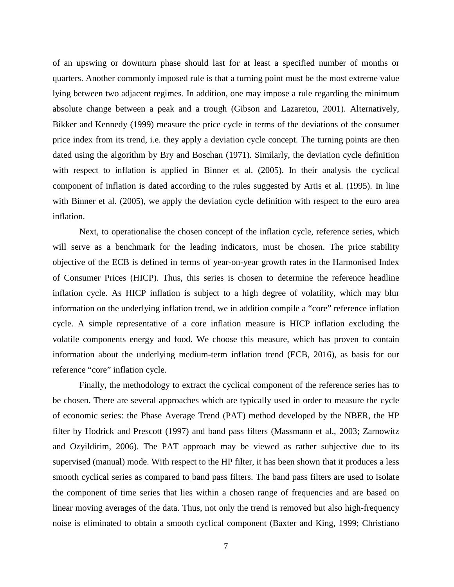of an upswing or downturn phase should last for at least a specified number of months or quarters. Another commonly imposed rule is that a turning point must be the most extreme value lying between two adjacent regimes. In addition, one may impose a rule regarding the minimum absolute change between a peak and a trough (Gibson and Lazaretou, 2001). Alternatively, Bikker and Kennedy (1999) measure the price cycle in terms of the deviations of the consumer price index from its trend, i.e. they apply a deviation cycle concept. The turning points are then dated using the algorithm by Bry and Boschan (1971). Similarly, the deviation cycle definition with respect to inflation is applied in Binner et al. (2005). In their analysis the cyclical component of inflation is dated according to the rules suggested by Artis et al. (1995). In line with Binner et al. (2005), we apply the deviation cycle definition with respect to the euro area inflation.

Next, to operationalise the chosen concept of the inflation cycle, reference series, which will serve as a benchmark for the leading indicators, must be chosen. The price stability objective of the ECB is defined in terms of year-on-year growth rates in the Harmonised Index of Consumer Prices (HICP). Thus, this series is chosen to determine the reference headline inflation cycle. As HICP inflation is subject to a high degree of volatility, which may blur information on the underlying inflation trend, we in addition compile a "core" reference inflation cycle. A simple representative of a core inflation measure is HICP inflation excluding the volatile components energy and food. We choose this measure, which has proven to contain information about the underlying medium-term inflation trend (ECB, 2016), as basis for our reference "core" inflation cycle.

Finally, the methodology to extract the cyclical component of the reference series has to be chosen. There are several approaches which are typically used in order to measure the cycle of economic series: the Phase Average Trend (PAT) method developed by the NBER, the HP filter by Hodrick and Prescott (1997) and band pass filters (Massmann et al., 2003; Zarnowitz and Ozyildirim, 2006). The PAT approach may be viewed as rather subjective due to its supervised (manual) mode. With respect to the HP filter, it has been shown that it produces a less smooth cyclical series as compared to band pass filters. The band pass filters are used to isolate the component of time series that lies within a chosen range of frequencies and are based on linear moving averages of the data. Thus, not only the trend is removed but also high-frequency noise is eliminated to obtain a smooth cyclical component (Baxter and King, 1999; Christiano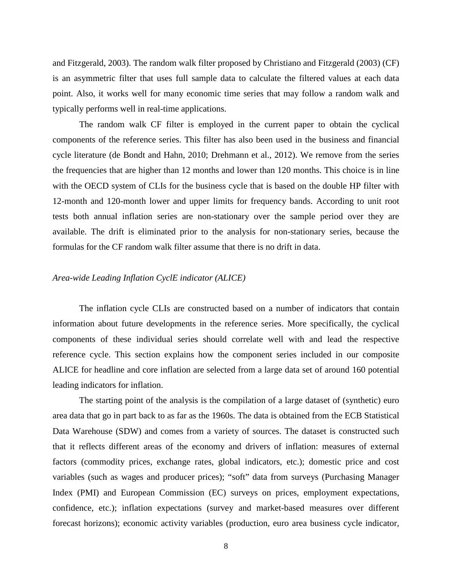and Fitzgerald, 2003). The random walk filter proposed by Christiano and Fitzgerald (2003) (CF) is an asymmetric filter that uses full sample data to calculate the filtered values at each data point. Also, it works well for many economic time series that may follow a random walk and typically performs well in real-time applications.

The random walk CF filter is employed in the current paper to obtain the cyclical components of the reference series. This filter has also been used in the business and financial cycle literature (de Bondt and Hahn, 2010; Drehmann et al., 2012). We remove from the series the frequencies that are higher than 12 months and lower than 120 months. This choice is in line with the OECD system of CLIs for the business cycle that is based on the double HP filter with 12-month and 120-month lower and upper limits for frequency bands. According to unit root tests both annual inflation series are non-stationary over the sample period over they are available. The drift is eliminated prior to the analysis for non-stationary series, because the formulas for the CF random walk filter assume that there is no drift in data.

#### *Area-wide Leading Inflation CyclE indicator (ALICE)*

The inflation cycle CLIs are constructed based on a number of indicators that contain information about future developments in the reference series. More specifically, the cyclical components of these individual series should correlate well with and lead the respective reference cycle. This section explains how the component series included in our composite ALICE for headline and core inflation are selected from a large data set of around 160 potential leading indicators for inflation.

The starting point of the analysis is the compilation of a large dataset of (synthetic) euro area data that go in part back to as far as the 1960s. The data is obtained from the ECB Statistical Data Warehouse (SDW) and comes from a variety of sources. The dataset is constructed such that it reflects different areas of the economy and drivers of inflation: measures of external factors (commodity prices, exchange rates, global indicators, etc.); domestic price and cost variables (such as wages and producer prices); "soft" data from surveys (Purchasing Manager Index (PMI) and European Commission (EC) surveys on prices, employment expectations, confidence, etc.); inflation expectations (survey and market-based measures over different forecast horizons); economic activity variables (production, euro area business cycle indicator,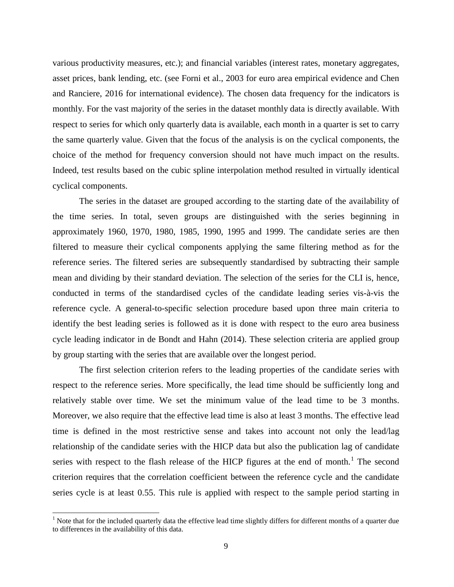various productivity measures, etc.); and financial variables (interest rates, monetary aggregates, asset prices, bank lending, etc. (see Forni et al., 2003 for euro area empirical evidence and Chen and Ranciere, 2016 for international evidence). The chosen data frequency for the indicators is monthly. For the vast majority of the series in the dataset monthly data is directly available. With respect to series for which only quarterly data is available, each month in a quarter is set to carry the same quarterly value. Given that the focus of the analysis is on the cyclical components, the choice of the method for frequency conversion should not have much impact on the results. Indeed, test results based on the cubic spline interpolation method resulted in virtually identical cyclical components.

The series in the dataset are grouped according to the starting date of the availability of the time series. In total, seven groups are distinguished with the series beginning in approximately 1960, 1970, 1980, 1985, 1990, 1995 and 1999. The candidate series are then filtered to measure their cyclical components applying the same filtering method as for the reference series. The filtered series are subsequently standardised by subtracting their sample mean and dividing by their standard deviation. The selection of the series for the CLI is, hence, conducted in terms of the standardised cycles of the candidate leading series vis-à-vis the reference cycle. A general-to-specific selection procedure based upon three main criteria to identify the best leading series is followed as it is done with respect to the euro area business cycle leading indicator in de Bondt and Hahn (2014). These selection criteria are applied group by group starting with the series that are available over the longest period.

The first selection criterion refers to the leading properties of the candidate series with respect to the reference series. More specifically, the lead time should be sufficiently long and relatively stable over time. We set the minimum value of the lead time to be 3 months. Moreover, we also require that the effective lead time is also at least 3 months. The effective lead time is defined in the most restrictive sense and takes into account not only the lead/lag relationship of the candidate series with the HICP data but also the publication lag of candidate series with respect to the flash release of the HICP figures at the end of month.<sup>[1](#page-8-0)</sup> The second criterion requires that the correlation coefficient between the reference cycle and the candidate series cycle is at least 0.55. This rule is applied with respect to the sample period starting in

<span id="page-8-0"></span> $1$  Note that for the included quarterly data the effective lead time slightly differs for different months of a quarter due to differences in the availability of this data.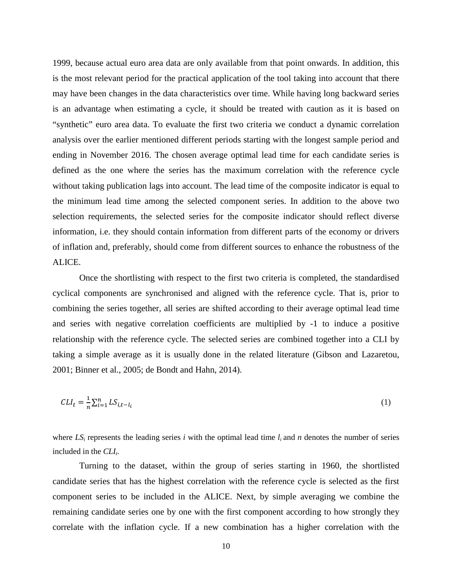1999, because actual euro area data are only available from that point onwards. In addition, this is the most relevant period for the practical application of the tool taking into account that there may have been changes in the data characteristics over time. While having long backward series is an advantage when estimating a cycle, it should be treated with caution as it is based on "synthetic" euro area data. To evaluate the first two criteria we conduct a dynamic correlation analysis over the earlier mentioned different periods starting with the longest sample period and ending in November 2016. The chosen average optimal lead time for each candidate series is defined as the one where the series has the maximum correlation with the reference cycle without taking publication lags into account. The lead time of the composite indicator is equal to the minimum lead time among the selected component series. In addition to the above two selection requirements, the selected series for the composite indicator should reflect diverse information, i.e. they should contain information from different parts of the economy or drivers of inflation and, preferably, should come from different sources to enhance the robustness of the ALICE.

Once the shortlisting with respect to the first two criteria is completed, the standardised cyclical components are synchronised and aligned with the reference cycle. That is, prior to combining the series together, all series are shifted according to their average optimal lead time and series with negative correlation coefficients are multiplied by -1 to induce a positive relationship with the reference cycle. The selected series are combined together into a CLI by taking a simple average as it is usually done in the related literature (Gibson and Lazaretou, 2001; Binner et al., 2005; de Bondt and Hahn, 2014).

$$
CLI_t = \frac{1}{n} \sum_{i=1}^{n} LS_{i,t-l_i}
$$
 (1)

where  $LS_i$  represents the leading series *i* with the optimal lead time  $l_i$  and  $n$  denotes the number of series included in the *CLI*<sub>t</sub>.

Turning to the dataset, within the group of series starting in 1960, the shortlisted candidate series that has the highest correlation with the reference cycle is selected as the first component series to be included in the ALICE. Next, by simple averaging we combine the remaining candidate series one by one with the first component according to how strongly they correlate with the inflation cycle. If a new combination has a higher correlation with the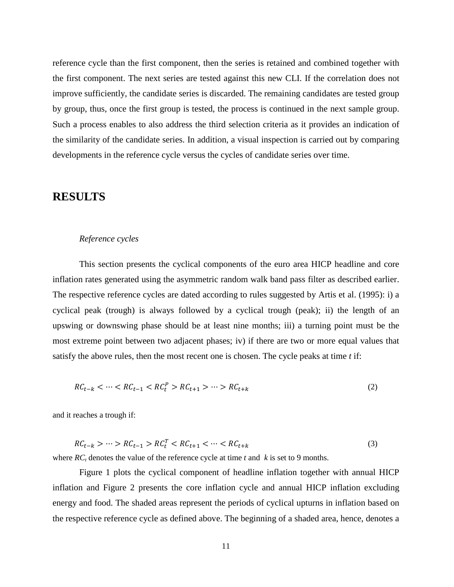reference cycle than the first component, then the series is retained and combined together with the first component. The next series are tested against this new CLI. If the correlation does not improve sufficiently, the candidate series is discarded. The remaining candidates are tested group by group, thus, once the first group is tested, the process is continued in the next sample group. Such a process enables to also address the third selection criteria as it provides an indication of the similarity of the candidate series. In addition, a visual inspection is carried out by comparing developments in the reference cycle versus the cycles of candidate series over time.

### **RESULTS**

#### *Reference cycles*

This section presents the cyclical components of the euro area HICP headline and core inflation rates generated using the asymmetric random walk band pass filter as described earlier. The respective reference cycles are dated according to rules suggested by Artis et al. (1995): i) a cyclical peak (trough) is always followed by a cyclical trough (peak); ii) the length of an upswing or downswing phase should be at least nine months; iii) a turning point must be the most extreme point between two adjacent phases; iv) if there are two or more equal values that satisfy the above rules, then the most recent one is chosen. The cycle peaks at time *t* if:

$$
RC_{t-k} < \dots < RC_{t-1} < RC_t^P > RC_{t+1} > \dots > RC_{t+k} \tag{2}
$$

and it reaches a trough if:

$$
RC_{t-k} > \dots > RC_{t-1} > RC_t^T < RC_{t+1} < \dots < RC_{t+k}
$$
\n(3)

where  $RC<sub>t</sub>$  denotes the value of the reference cycle at time *t* and *k* is set to 9 months.

Figure 1 plots the cyclical component of headline inflation together with annual HICP inflation and Figure 2 presents the core inflation cycle and annual HICP inflation excluding energy and food. The shaded areas represent the periods of cyclical upturns in inflation based on the respective reference cycle as defined above. The beginning of a shaded area, hence, denotes a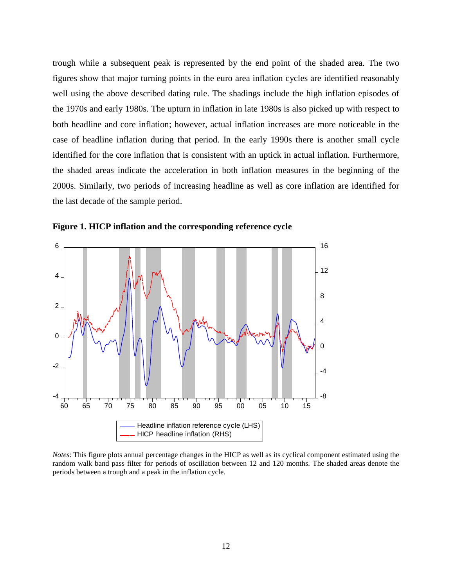trough while a subsequent peak is represented by the end point of the shaded area. The two figures show that major turning points in the euro area inflation cycles are identified reasonably well using the above described dating rule. The shadings include the high inflation episodes of the 1970s and early 1980s. The upturn in inflation in late 1980s is also picked up with respect to both headline and core inflation; however, actual inflation increases are more noticeable in the case of headline inflation during that period. In the early 1990s there is another small cycle identified for the core inflation that is consistent with an uptick in actual inflation. Furthermore, the shaded areas indicate the acceleration in both inflation measures in the beginning of the 2000s. Similarly, two periods of increasing headline as well as core inflation are identified for the last decade of the sample period.



**Figure 1. HICP inflation and the corresponding reference cycle**

*Notes*: This figure plots annual percentage changes in the HICP as well as its cyclical component estimated using the random walk band pass filter for periods of oscillation between 12 and 120 months. The shaded areas denote the periods between a trough and a peak in the inflation cycle.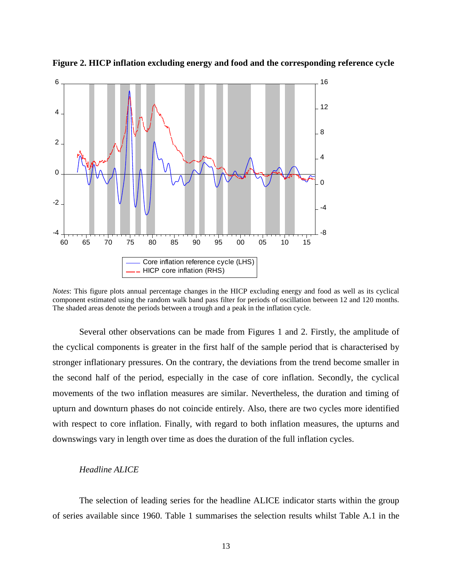

**Figure 2. HICP inflation excluding energy and food and the corresponding reference cycle**

*Notes*: This figure plots annual percentage changes in the HICP excluding energy and food as well as its cyclical component estimated using the random walk band pass filter for periods of oscillation between 12 and 120 months. The shaded areas denote the periods between a trough and a peak in the inflation cycle.

Several other observations can be made from Figures 1 and 2. Firstly, the amplitude of the cyclical components is greater in the first half of the sample period that is characterised by stronger inflationary pressures. On the contrary, the deviations from the trend become smaller in the second half of the period, especially in the case of core inflation. Secondly, the cyclical movements of the two inflation measures are similar. Nevertheless, the duration and timing of upturn and downturn phases do not coincide entirely. Also, there are two cycles more identified with respect to core inflation. Finally, with regard to both inflation measures, the upturns and downswings vary in length over time as does the duration of the full inflation cycles.

#### *Headline ALICE*

The selection of leading series for the headline ALICE indicator starts within the group of series available since 1960. Table 1 summarises the selection results whilst Table A.1 in the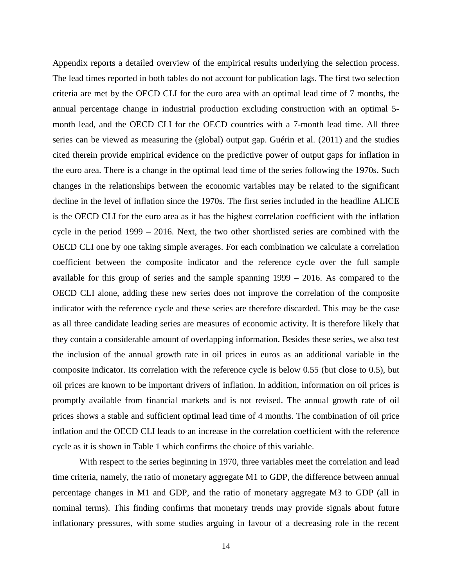Appendix reports a detailed overview of the empirical results underlying the selection process. The lead times reported in both tables do not account for publication lags. The first two selection criteria are met by the OECD CLI for the euro area with an optimal lead time of 7 months, the annual percentage change in industrial production excluding construction with an optimal 5 month lead, and the OECD CLI for the OECD countries with a 7-month lead time. All three series can be viewed as measuring the (global) output gap. Guérin et al. (2011) and the studies cited therein provide empirical evidence on the predictive power of output gaps for inflation in the euro area. There is a change in the optimal lead time of the series following the 1970s. Such changes in the relationships between the economic variables may be related to the significant decline in the level of inflation since the 1970s. The first series included in the headline ALICE is the OECD CLI for the euro area as it has the highest correlation coefficient with the inflation cycle in the period 1999 – 2016. Next, the two other shortlisted series are combined with the OECD CLI one by one taking simple averages. For each combination we calculate a correlation coefficient between the composite indicator and the reference cycle over the full sample available for this group of series and the sample spanning 1999 – 2016. As compared to the OECD CLI alone, adding these new series does not improve the correlation of the composite indicator with the reference cycle and these series are therefore discarded. This may be the case as all three candidate leading series are measures of economic activity. It is therefore likely that they contain a considerable amount of overlapping information. Besides these series, we also test the inclusion of the annual growth rate in oil prices in euros as an additional variable in the composite indicator. Its correlation with the reference cycle is below 0.55 (but close to 0.5), but oil prices are known to be important drivers of inflation. In addition, information on oil prices is promptly available from financial markets and is not revised. The annual growth rate of oil prices shows a stable and sufficient optimal lead time of 4 months. The combination of oil price inflation and the OECD CLI leads to an increase in the correlation coefficient with the reference cycle as it is shown in Table 1 which confirms the choice of this variable.

With respect to the series beginning in 1970, three variables meet the correlation and lead time criteria, namely, the ratio of monetary aggregate M1 to GDP, the difference between annual percentage changes in M1 and GDP, and the ratio of monetary aggregate M3 to GDP (all in nominal terms). This finding confirms that monetary trends may provide signals about future inflationary pressures, with some studies arguing in favour of a decreasing role in the recent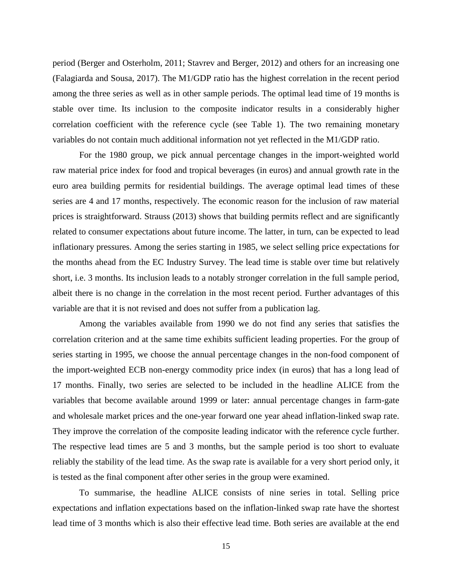period (Berger and Osterholm, 2011; Stavrev and Berger, 2012) and others for an increasing one (Falagiarda and Sousa, 2017). The M1/GDP ratio has the highest correlation in the recent period among the three series as well as in other sample periods. The optimal lead time of 19 months is stable over time. Its inclusion to the composite indicator results in a considerably higher correlation coefficient with the reference cycle (see Table 1). The two remaining monetary variables do not contain much additional information not yet reflected in the M1/GDP ratio.

For the 1980 group, we pick annual percentage changes in the import-weighted world raw material price index for food and tropical beverages (in euros) and annual growth rate in the euro area building permits for residential buildings. The average optimal lead times of these series are 4 and 17 months, respectively. The economic reason for the inclusion of raw material prices is straightforward. Strauss (2013) shows that building permits reflect and are significantly related to consumer expectations about future income. The latter, in turn, can be expected to lead inflationary pressures. Among the series starting in 1985, we select selling price expectations for the months ahead from the EC Industry Survey. The lead time is stable over time but relatively short, i.e. 3 months. Its inclusion leads to a notably stronger correlation in the full sample period, albeit there is no change in the correlation in the most recent period. Further advantages of this variable are that it is not revised and does not suffer from a publication lag.

Among the variables available from 1990 we do not find any series that satisfies the correlation criterion and at the same time exhibits sufficient leading properties. For the group of series starting in 1995, we choose the annual percentage changes in the non-food component of the import-weighted ECB non-energy commodity price index (in euros) that has a long lead of 17 months. Finally, two series are selected to be included in the headline ALICE from the variables that become available around 1999 or later: annual percentage changes in farm-gate and wholesale market prices and the one-year forward one year ahead inflation-linked swap rate. They improve the correlation of the composite leading indicator with the reference cycle further. The respective lead times are 5 and 3 months, but the sample period is too short to evaluate reliably the stability of the lead time. As the swap rate is available for a very short period only, it is tested as the final component after other series in the group were examined.

To summarise, the headline ALICE consists of nine series in total. Selling price expectations and inflation expectations based on the inflation-linked swap rate have the shortest lead time of 3 months which is also their effective lead time. Both series are available at the end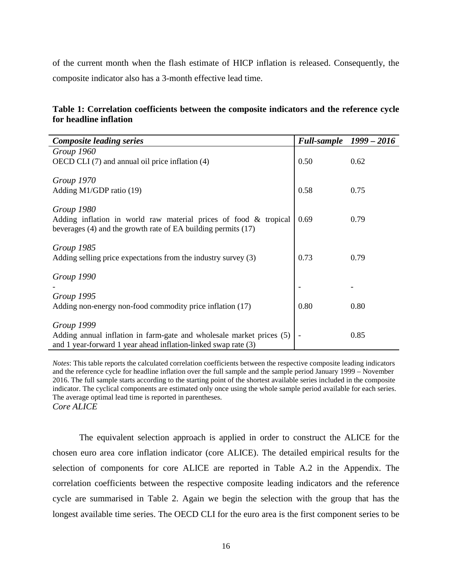of the current month when the flash estimate of HICP inflation is released. Consequently, the composite indicator also has a 3-month effective lead time.

| Table 1: Correlation coefficients between the composite indicators and the reference cycle |  |  |  |  |
|--------------------------------------------------------------------------------------------|--|--|--|--|
| for headline inflation                                                                     |  |  |  |  |

| <b>Composite leading series</b>                                      | Full-sample 1999 - 2016 |      |
|----------------------------------------------------------------------|-------------------------|------|
| Group 1960                                                           |                         |      |
| OECD CLI (7) and annual oil price inflation (4)                      | 0.50                    | 0.62 |
|                                                                      |                         |      |
| Group 1970                                                           |                         |      |
| Adding M1/GDP ratio (19)                                             | 0.58                    | 0.75 |
|                                                                      |                         |      |
| Group 1980                                                           |                         |      |
| Adding inflation in world raw material prices of food $\&$ tropical  | 0.69                    | 0.79 |
| beverages (4) and the growth rate of EA building permits (17)        |                         |      |
| Group 1985                                                           |                         |      |
| Adding selling price expectations from the industry survey (3)       | 0.73                    | 0.79 |
|                                                                      |                         |      |
| Group 1990                                                           |                         |      |
|                                                                      |                         |      |
| Group 1995                                                           |                         |      |
| Adding non-energy non-food commodity price inflation (17)            | 0.80                    | 0.80 |
|                                                                      |                         |      |
| Group 1999                                                           |                         |      |
| Adding annual inflation in farm-gate and wholesale market prices (5) |                         | 0.85 |
| and 1 year-forward 1 year ahead inflation-linked swap rate (3)       |                         |      |

*Notes*: This table reports the calculated correlation coefficients between the respective composite leading indicators and the reference cycle for headline inflation over the full sample and the sample period January 1999 – November 2016. The full sample starts according to the starting point of the shortest available series included in the composite indicator. The cyclical components are estimated only once using the whole sample period available for each series. The average optimal lead time is reported in parentheses. *Core ALICE*

The equivalent selection approach is applied in order to construct the ALICE for the chosen euro area core inflation indicator (core ALICE). The detailed empirical results for the selection of components for core ALICE are reported in Table A.2 in the Appendix. The correlation coefficients between the respective composite leading indicators and the reference cycle are summarised in Table 2. Again we begin the selection with the group that has the longest available time series. The OECD CLI for the euro area is the first component series to be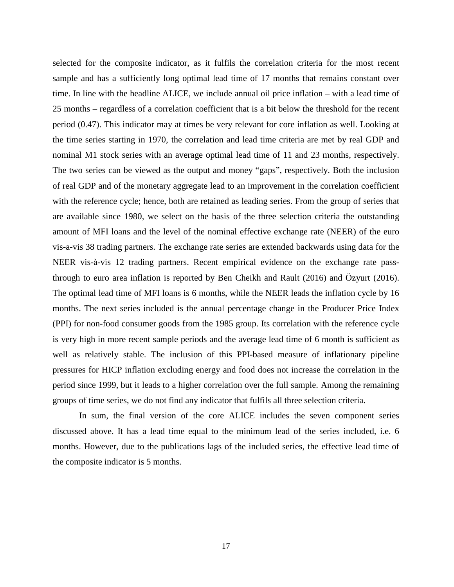selected for the composite indicator, as it fulfils the correlation criteria for the most recent sample and has a sufficiently long optimal lead time of 17 months that remains constant over time. In line with the headline ALICE, we include annual oil price inflation – with a lead time of 25 months – regardless of a correlation coefficient that is a bit below the threshold for the recent period (0.47). This indicator may at times be very relevant for core inflation as well. Looking at the time series starting in 1970, the correlation and lead time criteria are met by real GDP and nominal M1 stock series with an average optimal lead time of 11 and 23 months, respectively. The two series can be viewed as the output and money "gaps", respectively. Both the inclusion of real GDP and of the monetary aggregate lead to an improvement in the correlation coefficient with the reference cycle; hence, both are retained as leading series. From the group of series that are available since 1980, we select on the basis of the three selection criteria the outstanding amount of MFI loans and the level of the nominal effective exchange rate (NEER) of the euro vis-a-vis 38 trading partners. The exchange rate series are extended backwards using data for the NEER vis-à-vis 12 trading partners. Recent empirical evidence on the exchange rate passthrough to euro area inflation is reported by Ben Cheikh and Rault (2016) and Özyurt (2016). The optimal lead time of MFI loans is 6 months, while the NEER leads the inflation cycle by 16 months. The next series included is the annual percentage change in the Producer Price Index (PPI) for non-food consumer goods from the 1985 group. Its correlation with the reference cycle is very high in more recent sample periods and the average lead time of 6 month is sufficient as well as relatively stable. The inclusion of this PPI-based measure of inflationary pipeline pressures for HICP inflation excluding energy and food does not increase the correlation in the period since 1999, but it leads to a higher correlation over the full sample. Among the remaining groups of time series, we do not find any indicator that fulfils all three selection criteria.

In sum, the final version of the core ALICE includes the seven component series discussed above. It has a lead time equal to the minimum lead of the series included, i.e. 6 months. However, due to the publications lags of the included series, the effective lead time of the composite indicator is 5 months.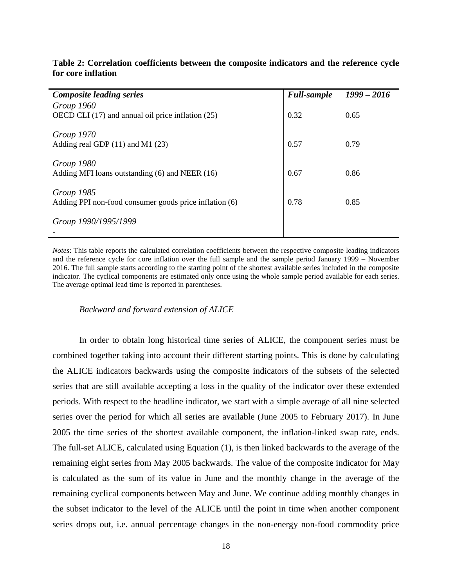| <b>Composite leading series</b>                        | <b>Full-sample</b> | $1999 - 2016$ |
|--------------------------------------------------------|--------------------|---------------|
| Group 1960                                             |                    |               |
| OECD CLI (17) and annual oil price inflation (25)      | 0.32               | 0.65          |
|                                                        |                    |               |
| Group 1970                                             |                    |               |
| Adding real GDP $(11)$ and M1 $(23)$                   | 0.57               | 0.79          |
|                                                        |                    |               |
| Group 1980                                             |                    |               |
| Adding MFI loans outstanding (6) and NEER (16)         | 0.67               | 0.86          |
|                                                        |                    |               |
| Group 1985                                             |                    |               |
| Adding PPI non-food consumer goods price inflation (6) | 0.78               | 0.85          |
|                                                        |                    |               |
| Group 1990/1995/1999                                   |                    |               |
|                                                        |                    |               |
|                                                        |                    |               |

#### **Table 2: Correlation coefficients between the composite indicators and the reference cycle for core inflation**

*Notes*: This table reports the calculated correlation coefficients between the respective composite leading indicators and the reference cycle for core inflation over the full sample and the sample period January 1999 – November 2016. The full sample starts according to the starting point of the shortest available series included in the composite indicator. The cyclical components are estimated only once using the whole sample period available for each series. The average optimal lead time is reported in parentheses.

#### *Backward and forward extension of ALICE*

In order to obtain long historical time series of ALICE, the component series must be combined together taking into account their different starting points. This is done by calculating the ALICE indicators backwards using the composite indicators of the subsets of the selected series that are still available accepting a loss in the quality of the indicator over these extended periods. With respect to the headline indicator, we start with a simple average of all nine selected series over the period for which all series are available (June 2005 to February 2017). In June 2005 the time series of the shortest available component, the inflation-linked swap rate, ends. The full-set ALICE, calculated using Equation (1), is then linked backwards to the average of the remaining eight series from May 2005 backwards. The value of the composite indicator for May is calculated as the sum of its value in June and the monthly change in the average of the remaining cyclical components between May and June. We continue adding monthly changes in the subset indicator to the level of the ALICE until the point in time when another component series drops out, i.e. annual percentage changes in the non-energy non-food commodity price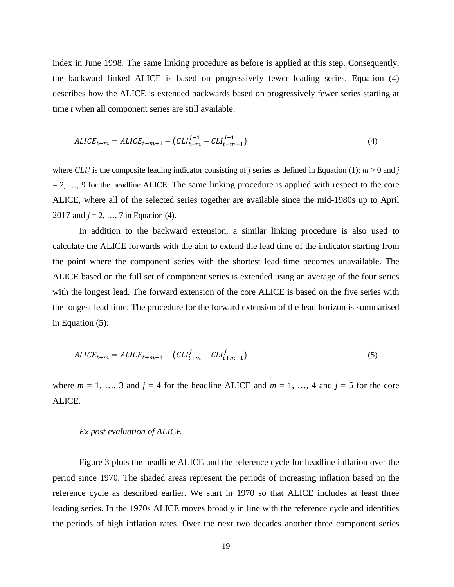index in June 1998. The same linking procedure as before is applied at this step. Consequently, the backward linked ALICE is based on progressively fewer leading series. Equation (4) describes how the ALICE is extended backwards based on progressively fewer series starting at time *t* when all component series are still available:

$$
ALICE_{t-m} = ALICE_{t-m+1} + (CLI_{t-m}^{j-1} - CLI_{t-m+1}^{j-1})
$$
\n(4)

where  $CLI<sub>i</sub><sup>j</sup>$  is the composite leading indicator consisting of *j* series as defined in Equation (1); *m* > 0 and *j*  $= 2, \ldots, 9$  for the headline ALICE. The same linking procedure is applied with respect to the core ALICE, where all of the selected series together are available since the mid-1980s up to April 2017 and  $j = 2, ..., 7$  in Equation (4).

In addition to the backward extension, a similar linking procedure is also used to calculate the ALICE forwards with the aim to extend the lead time of the indicator starting from the point where the component series with the shortest lead time becomes unavailable. The ALICE based on the full set of component series is extended using an average of the four series with the longest lead. The forward extension of the core ALICE is based on the five series with the longest lead time. The procedure for the forward extension of the lead horizon is summarised in Equation (5):

$$
ALICE_{t+m} = ALICE_{t+m-1} + (CLI_{t+m}^{j} - CLI_{t+m-1}^{j})
$$
\n(5)

where  $m = 1, \ldots, 3$  and  $j = 4$  for the headline ALICE and  $m = 1, \ldots, 4$  and  $j = 5$  for the core ALICE.

#### *Ex post evaluation of ALICE*

Figure 3 plots the headline ALICE and the reference cycle for headline inflation over the period since 1970. The shaded areas represent the periods of increasing inflation based on the reference cycle as described earlier. We start in 1970 so that ALICE includes at least three leading series. In the 1970s ALICE moves broadly in line with the reference cycle and identifies the periods of high inflation rates. Over the next two decades another three component series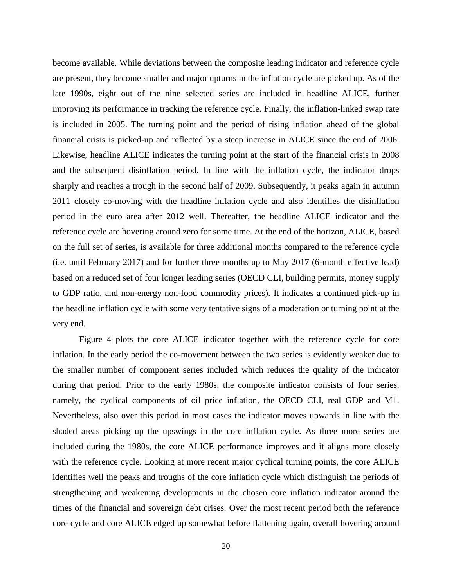become available. While deviations between the composite leading indicator and reference cycle are present, they become smaller and major upturns in the inflation cycle are picked up. As of the late 1990s, eight out of the nine selected series are included in headline ALICE, further improving its performance in tracking the reference cycle. Finally, the inflation-linked swap rate is included in 2005. The turning point and the period of rising inflation ahead of the global financial crisis is picked-up and reflected by a steep increase in ALICE since the end of 2006. Likewise, headline ALICE indicates the turning point at the start of the financial crisis in 2008 and the subsequent disinflation period. In line with the inflation cycle, the indicator drops sharply and reaches a trough in the second half of 2009. Subsequently, it peaks again in autumn 2011 closely co-moving with the headline inflation cycle and also identifies the disinflation period in the euro area after 2012 well. Thereafter, the headline ALICE indicator and the reference cycle are hovering around zero for some time. At the end of the horizon, ALICE, based on the full set of series, is available for three additional months compared to the reference cycle (i.e. until February 2017) and for further three months up to May 2017 (6-month effective lead) based on a reduced set of four longer leading series (OECD CLI, building permits, money supply to GDP ratio, and non-energy non-food commodity prices). It indicates a continued pick-up in the headline inflation cycle with some very tentative signs of a moderation or turning point at the very end.

Figure 4 plots the core ALICE indicator together with the reference cycle for core inflation. In the early period the co-movement between the two series is evidently weaker due to the smaller number of component series included which reduces the quality of the indicator during that period. Prior to the early 1980s, the composite indicator consists of four series, namely, the cyclical components of oil price inflation, the OECD CLI, real GDP and M1. Nevertheless, also over this period in most cases the indicator moves upwards in line with the shaded areas picking up the upswings in the core inflation cycle. As three more series are included during the 1980s, the core ALICE performance improves and it aligns more closely with the reference cycle. Looking at more recent major cyclical turning points, the core ALICE identifies well the peaks and troughs of the core inflation cycle which distinguish the periods of strengthening and weakening developments in the chosen core inflation indicator around the times of the financial and sovereign debt crises. Over the most recent period both the reference core cycle and core ALICE edged up somewhat before flattening again, overall hovering around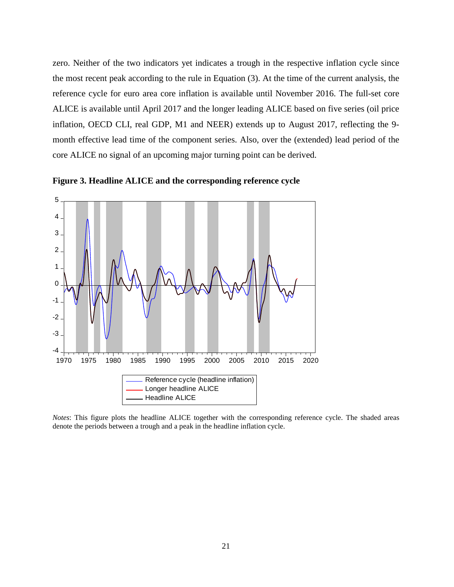zero. Neither of the two indicators yet indicates a trough in the respective inflation cycle since the most recent peak according to the rule in Equation (3). At the time of the current analysis, the reference cycle for euro area core inflation is available until November 2016. The full-set core ALICE is available until April 2017 and the longer leading ALICE based on five series (oil price inflation, OECD CLI, real GDP, M1 and NEER) extends up to August 2017, reflecting the 9 month effective lead time of the component series. Also, over the (extended) lead period of the core ALICE no signal of an upcoming major turning point can be derived.



**Figure 3. Headline ALICE and the corresponding reference cycle**

*Notes*: This figure plots the headline ALICE together with the corresponding reference cycle. The shaded areas denote the periods between a trough and a peak in the headline inflation cycle.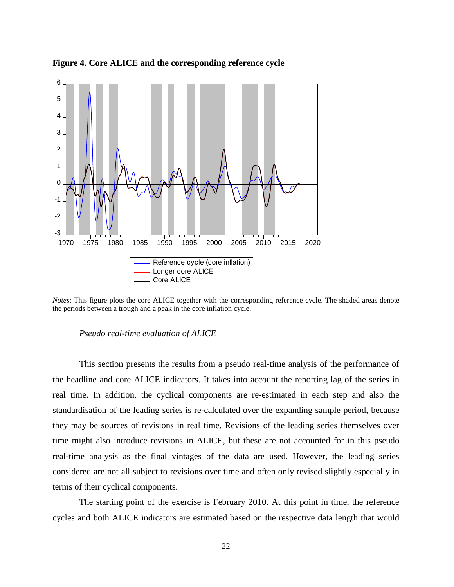

**Figure 4. Core ALICE and the corresponding reference cycle**

*Notes*: This figure plots the core ALICE together with the corresponding reference cycle. The shaded areas denote the periods between a trough and a peak in the core inflation cycle.

#### *Pseudo real-time evaluation of ALICE*

This section presents the results from a pseudo real-time analysis of the performance of the headline and core ALICE indicators. It takes into account the reporting lag of the series in real time. In addition, the cyclical components are re-estimated in each step and also the standardisation of the leading series is re-calculated over the expanding sample period, because they may be sources of revisions in real time. Revisions of the leading series themselves over time might also introduce revisions in ALICE, but these are not accounted for in this pseudo real-time analysis as the final vintages of the data are used. However, the leading series considered are not all subject to revisions over time and often only revised slightly especially in terms of their cyclical components.

The starting point of the exercise is February 2010. At this point in time, the reference cycles and both ALICE indicators are estimated based on the respective data length that would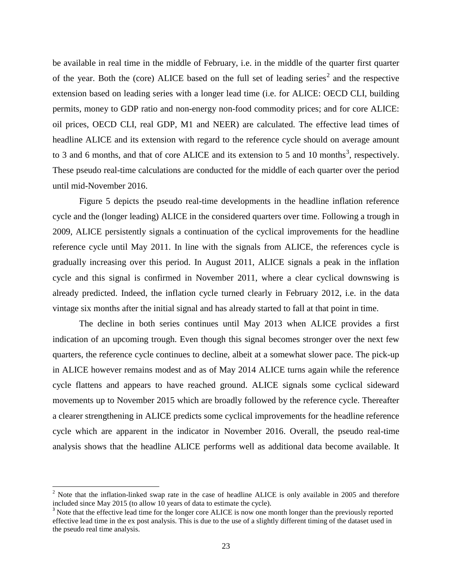be available in real time in the middle of February, i.e. in the middle of the quarter first quarter of the year. Both the (core) ALICE based on the full set of leading series<sup>[2](#page-22-0)</sup> and the respective extension based on leading series with a longer lead time (i.e. for ALICE: OECD CLI, building permits, money to GDP ratio and non-energy non-food commodity prices; and for core ALICE: oil prices, OECD CLI, real GDP, M1 and NEER) are calculated. The effective lead times of headline ALICE and its extension with regard to the reference cycle should on average amount to [3](#page-22-1) and 6 months, and that of core ALICE and its extension to 5 and 10 months<sup>3</sup>, respectively. These pseudo real-time calculations are conducted for the middle of each quarter over the period until mid-November 2016.

Figure 5 depicts the pseudo real-time developments in the headline inflation reference cycle and the (longer leading) ALICE in the considered quarters over time. Following a trough in 2009, ALICE persistently signals a continuation of the cyclical improvements for the headline reference cycle until May 2011. In line with the signals from ALICE, the references cycle is gradually increasing over this period. In August 2011, ALICE signals a peak in the inflation cycle and this signal is confirmed in November 2011, where a clear cyclical downswing is already predicted. Indeed, the inflation cycle turned clearly in February 2012, i.e. in the data vintage six months after the initial signal and has already started to fall at that point in time.

The decline in both series continues until May 2013 when ALICE provides a first indication of an upcoming trough. Even though this signal becomes stronger over the next few quarters, the reference cycle continues to decline, albeit at a somewhat slower pace. The pick-up in ALICE however remains modest and as of May 2014 ALICE turns again while the reference cycle flattens and appears to have reached ground. ALICE signals some cyclical sideward movements up to November 2015 which are broadly followed by the reference cycle. Thereafter a clearer strengthening in ALICE predicts some cyclical improvements for the headline reference cycle which are apparent in the indicator in November 2016. Overall, the pseudo real-time analysis shows that the headline ALICE performs well as additional data become available. It

<span id="page-22-0"></span><sup>&</sup>lt;sup>2</sup> Note that the inflation-linked swap rate in the case of headline ALICE is only available in 2005 and therefore included since May 2015 (to allow 10 years of data to estimate the cycle).<br> $3$  Note that the effective lead time for the longer core ALICE is now one month longer than the previously reported

<span id="page-22-1"></span>effective lead time in the ex post analysis. This is due to the use of a slightly different timing of the dataset used in the pseudo real time analysis.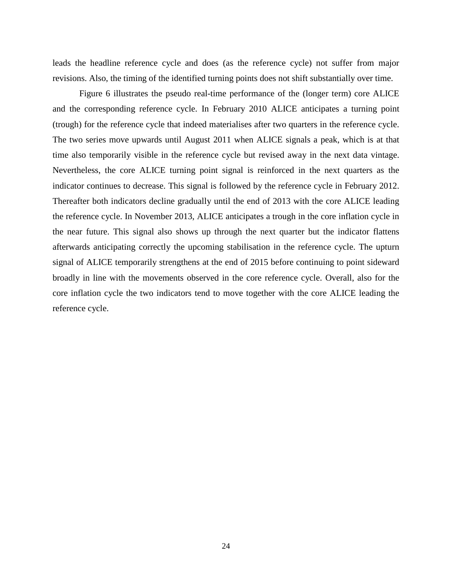leads the headline reference cycle and does (as the reference cycle) not suffer from major revisions. Also, the timing of the identified turning points does not shift substantially over time.

Figure 6 illustrates the pseudo real-time performance of the (longer term) core ALICE and the corresponding reference cycle. In February 2010 ALICE anticipates a turning point (trough) for the reference cycle that indeed materialises after two quarters in the reference cycle. The two series move upwards until August 2011 when ALICE signals a peak, which is at that time also temporarily visible in the reference cycle but revised away in the next data vintage. Nevertheless, the core ALICE turning point signal is reinforced in the next quarters as the indicator continues to decrease. This signal is followed by the reference cycle in February 2012. Thereafter both indicators decline gradually until the end of 2013 with the core ALICE leading the reference cycle. In November 2013, ALICE anticipates a trough in the core inflation cycle in the near future. This signal also shows up through the next quarter but the indicator flattens afterwards anticipating correctly the upcoming stabilisation in the reference cycle. The upturn signal of ALICE temporarily strengthens at the end of 2015 before continuing to point sideward broadly in line with the movements observed in the core reference cycle. Overall, also for the core inflation cycle the two indicators tend to move together with the core ALICE leading the reference cycle.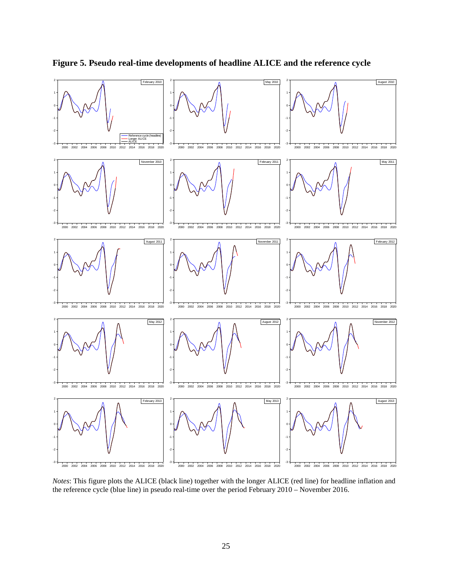

**Figure 5. Pseudo real-time developments of headline ALICE and the reference cycle**

*Notes*: This figure plots the ALICE (black line) together with the longer ALICE (red line) for headline inflation and the reference cycle (blue line) in pseudo real-time over the period February 2010 – November 2016.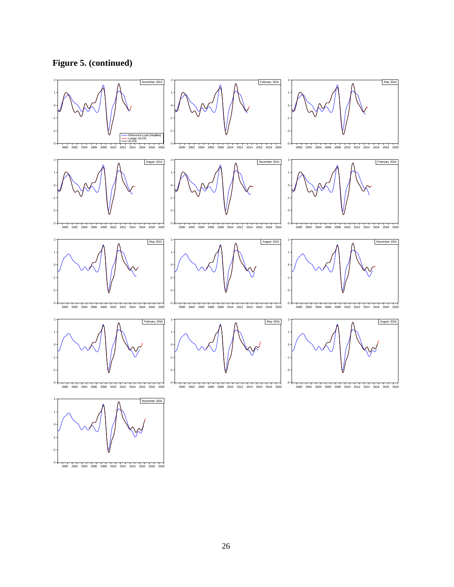**Figure 5. (continued)**



-3 2000 2002 2004 2006 2008 2010 2012 2014 2016 2018 2020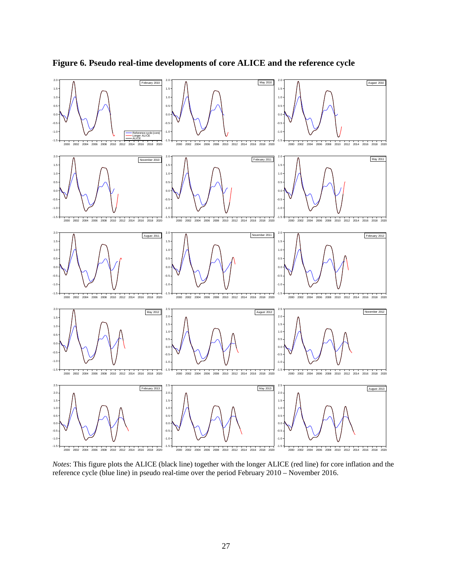

**Figure 6. Pseudo real-time developments of core ALICE and the reference cycle**

*Notes*: This figure plots the ALICE (black line) together with the longer ALICE (red line) for core inflation and the reference cycle (blue line) in pseudo real-time over the period February 2010 – November 2016.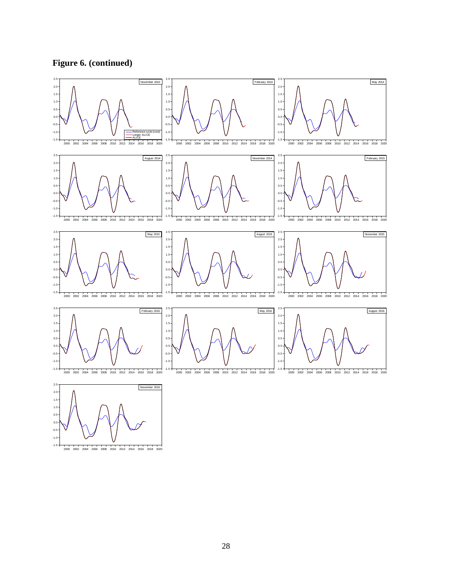**Figure 6. (continued)**

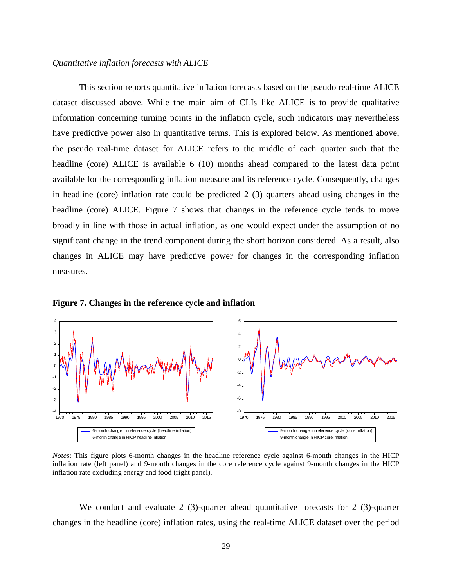#### *Quantitative inflation forecasts with ALICE*

This section reports quantitative inflation forecasts based on the pseudo real-time ALICE dataset discussed above. While the main aim of CLIs like ALICE is to provide qualitative information concerning turning points in the inflation cycle, such indicators may nevertheless have predictive power also in quantitative terms. This is explored below. As mentioned above, the pseudo real-time dataset for ALICE refers to the middle of each quarter such that the headline (core) ALICE is available 6 (10) months ahead compared to the latest data point available for the corresponding inflation measure and its reference cycle. Consequently, changes in headline (core) inflation rate could be predicted 2 (3) quarters ahead using changes in the headline (core) ALICE. Figure 7 shows that changes in the reference cycle tends to move broadly in line with those in actual inflation, as one would expect under the assumption of no significant change in the trend component during the short horizon considered. As a result, also changes in ALICE may have predictive power for changes in the corresponding inflation measures.



**Figure 7. Changes in the reference cycle and inflation**

*Notes*: This figure plots 6-month changes in the headline reference cycle against 6-month changes in the HICP inflation rate (left panel) and 9-month changes in the core reference cycle against 9-month changes in the HICP inflation rate excluding energy and food (right panel).

We conduct and evaluate 2 (3)-quarter ahead quantitative forecasts for 2 (3)-quarter changes in the headline (core) inflation rates, using the real-time ALICE dataset over the period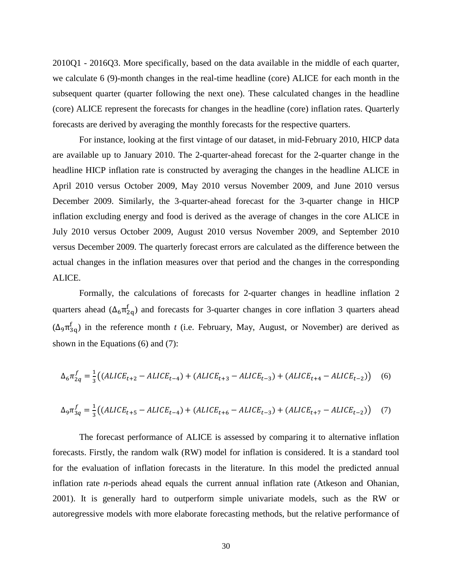2010Q1 - 2016Q3. More specifically, based on the data available in the middle of each quarter, we calculate 6 (9)-month changes in the real-time headline (core) ALICE for each month in the subsequent quarter (quarter following the next one). These calculated changes in the headline (core) ALICE represent the forecasts for changes in the headline (core) inflation rates. Quarterly forecasts are derived by averaging the monthly forecasts for the respective quarters.

For instance, looking at the first vintage of our dataset, in mid-February 2010, HICP data are available up to January 2010. The 2-quarter-ahead forecast for the 2-quarter change in the headline HICP inflation rate is constructed by averaging the changes in the headline ALICE in April 2010 versus October 2009, May 2010 versus November 2009, and June 2010 versus December 2009. Similarly, the 3-quarter-ahead forecast for the 3-quarter change in HICP inflation excluding energy and food is derived as the average of changes in the core ALICE in July 2010 versus October 2009, August 2010 versus November 2009, and September 2010 versus December 2009. The quarterly forecast errors are calculated as the difference between the actual changes in the inflation measures over that period and the changes in the corresponding ALICE.

Formally, the calculations of forecasts for 2-quarter changes in headline inflation 2 quarters ahead  $(\Delta_6 \pi_{2q}^t)$  and forecasts for 3-quarter changes in core inflation 3 quarters ahead  $(Δ<sub>9</sub>π<sub>3q</sub><sup>t</sup>)$  in the reference month *t* (i.e. February, May, August, or November) are derived as shown in the Equations (6) and (7):

$$
\Delta_6 \pi_{2q}^f = \frac{1}{3} \big( (ALICE_{t+2} - ALICE_{t-4}) + (ALICE_{t+3} - ALICE_{t-3}) + (ALICE_{t+4} - ALICE_{t-2}) \big) \tag{6}
$$

$$
\Delta_9 \pi_{3q}^f = \frac{1}{3} \big( (ALICE_{t+5} - ALICE_{t-4}) + (ALICE_{t+6} - ALICE_{t-3}) + (ALICE_{t+7} - ALICE_{t-2}) \big) \tag{7}
$$

The forecast performance of ALICE is assessed by comparing it to alternative inflation forecasts. Firstly, the random walk (RW) model for inflation is considered. It is a standard tool for the evaluation of inflation forecasts in the literature. In this model the predicted annual inflation rate *n*-periods ahead equals the current annual inflation rate (Atkeson and Ohanian, 2001). It is generally hard to outperform simple univariate models, such as the RW or autoregressive models with more elaborate forecasting methods, but the relative performance of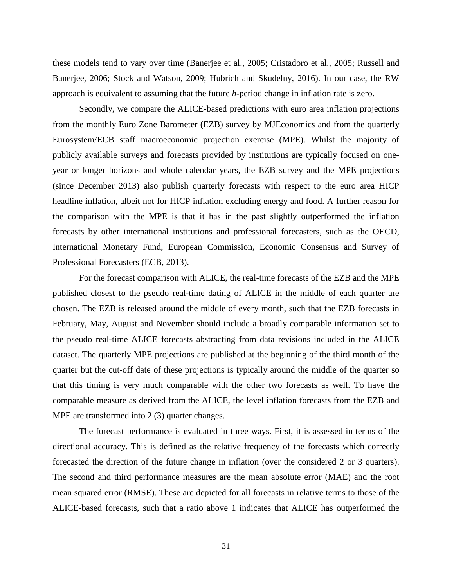these models tend to vary over time (Banerjee et al., 2005; Cristadoro et al., 2005; Russell and Banerjee, 2006; Stock and Watson, 2009; Hubrich and Skudelny, 2016). In our case, the RW approach is equivalent to assuming that the future *h*-period change in inflation rate is zero.

Secondly, we compare the ALICE-based predictions with euro area inflation projections from the monthly Euro Zone Barometer (EZB) survey by MJEconomics and from the quarterly Eurosystem/ECB staff macroeconomic projection exercise (MPE). Whilst the majority of publicly available surveys and forecasts provided by institutions are typically focused on oneyear or longer horizons and whole calendar years, the EZB survey and the MPE projections (since December 2013) also publish quarterly forecasts with respect to the euro area HICP headline inflation, albeit not for HICP inflation excluding energy and food. A further reason for the comparison with the MPE is that it has in the past slightly outperformed the inflation forecasts by other international institutions and professional forecasters, such as the OECD, International Monetary Fund, European Commission, Economic Consensus and Survey of Professional Forecasters (ECB, 2013).

For the forecast comparison with ALICE, the real-time forecasts of the EZB and the MPE published closest to the pseudo real-time dating of ALICE in the middle of each quarter are chosen. The EZB is released around the middle of every month, such that the EZB forecasts in February, May, August and November should include a broadly comparable information set to the pseudo real-time ALICE forecasts abstracting from data revisions included in the ALICE dataset. The quarterly MPE projections are published at the beginning of the third month of the quarter but the cut-off date of these projections is typically around the middle of the quarter so that this timing is very much comparable with the other two forecasts as well. To have the comparable measure as derived from the ALICE, the level inflation forecasts from the EZB and MPE are transformed into 2 (3) quarter changes.

The forecast performance is evaluated in three ways. First, it is assessed in terms of the directional accuracy. This is defined as the relative frequency of the forecasts which correctly forecasted the direction of the future change in inflation (over the considered 2 or 3 quarters). The second and third performance measures are the mean absolute error (MAE) and the root mean squared error (RMSE). These are depicted for all forecasts in relative terms to those of the ALICE-based forecasts, such that a ratio above 1 indicates that ALICE has outperformed the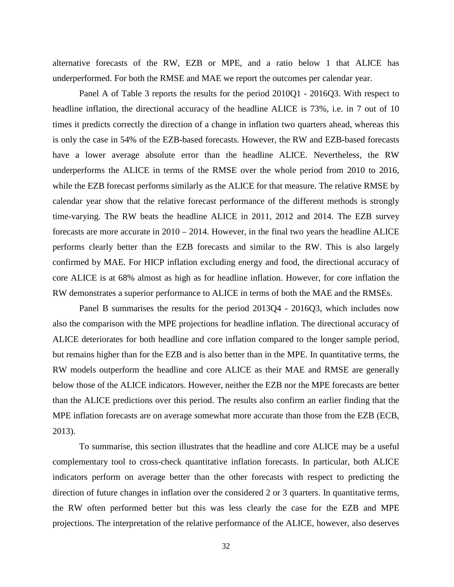alternative forecasts of the RW, EZB or MPE, and a ratio below 1 that ALICE has underperformed. For both the RMSE and MAE we report the outcomes per calendar year.

Panel A of Table 3 reports the results for the period 2010Q1 - 2016Q3. With respect to headline inflation, the directional accuracy of the headline ALICE is 73%, i.e. in 7 out of 10 times it predicts correctly the direction of a change in inflation two quarters ahead, whereas this is only the case in 54% of the EZB-based forecasts. However, the RW and EZB-based forecasts have a lower average absolute error than the headline ALICE. Nevertheless, the RW underperforms the ALICE in terms of the RMSE over the whole period from 2010 to 2016, while the EZB forecast performs similarly as the ALICE for that measure. The relative RMSE by calendar year show that the relative forecast performance of the different methods is strongly time-varying. The RW beats the headline ALICE in 2011, 2012 and 2014. The EZB survey forecasts are more accurate in 2010 – 2014. However, in the final two years the headline ALICE performs clearly better than the EZB forecasts and similar to the RW. This is also largely confirmed by MAE. For HICP inflation excluding energy and food, the directional accuracy of core ALICE is at 68% almost as high as for headline inflation. However, for core inflation the RW demonstrates a superior performance to ALICE in terms of both the MAE and the RMSEs.

Panel B summarises the results for the period 2013Q4 - 2016Q3, which includes now also the comparison with the MPE projections for headline inflation. The directional accuracy of ALICE deteriorates for both headline and core inflation compared to the longer sample period, but remains higher than for the EZB and is also better than in the MPE. In quantitative terms, the RW models outperform the headline and core ALICE as their MAE and RMSE are generally below those of the ALICE indicators. However, neither the EZB nor the MPE forecasts are better than the ALICE predictions over this period. The results also confirm an earlier finding that the MPE inflation forecasts are on average somewhat more accurate than those from the EZB (ECB, 2013).

To summarise, this section illustrates that the headline and core ALICE may be a useful complementary tool to cross-check quantitative inflation forecasts. In particular, both ALICE indicators perform on average better than the other forecasts with respect to predicting the direction of future changes in inflation over the considered 2 or 3 quarters. In quantitative terms, the RW often performed better but this was less clearly the case for the EZB and MPE projections. The interpretation of the relative performance of the ALICE, however, also deserves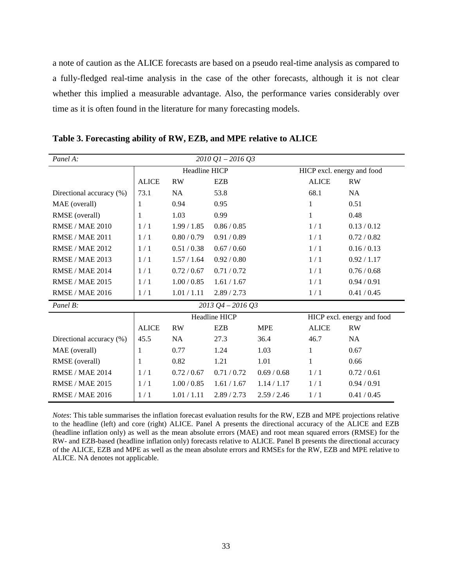a note of caution as the ALICE forecasts are based on a pseudo real-time analysis as compared to a fully-fledged real-time analysis in the case of the other forecasts, although it is not clear whether this implied a measurable advantage. Also, the performance varies considerably over time as it is often found in the literature for many forecasting models.

| Panel A:                 |                                                    |             | $2010$ $Q1 - 2016$ $Q3$ |             |              |                            |  |  |  |
|--------------------------|----------------------------------------------------|-------------|-------------------------|-------------|--------------|----------------------------|--|--|--|
|                          | <b>Headline HICP</b><br>HICP excl. energy and food |             |                         |             |              |                            |  |  |  |
|                          | <b>ALICE</b>                                       | <b>RW</b>   | <b>EZB</b>              |             | <b>ALICE</b> | <b>RW</b>                  |  |  |  |
| Directional accuracy (%) | 73.1                                               | <b>NA</b>   | 53.8                    |             | 68.1         | <b>NA</b>                  |  |  |  |
| MAE (overall)            | 1                                                  | 0.94        | 0.95                    |             | 1            | 0.51                       |  |  |  |
| RMSE (overall)           | 1                                                  | 1.03        | 0.99                    |             | 1            | 0.48                       |  |  |  |
| <b>RMSE/MAE 2010</b>     | 1/1                                                | 1.99/1.85   | 0.86 / 0.85             |             | 1/1          | 0.13/0.12                  |  |  |  |
| <b>RMSE / MAE 2011</b>   | 1/1                                                | 0.80 / 0.79 | 0.91 / 0.89             |             | 1/1          | 0.72 / 0.82                |  |  |  |
| <b>RMSE/MAE 2012</b>     | 1/1                                                | 0.51 / 0.38 | 0.67 / 0.60             |             | 1/1          | 0.16/0.13                  |  |  |  |
| <b>RMSE / MAE 2013</b>   | 1/1                                                | 1.57 / 1.64 | 0.92 / 0.80             |             | 1/1          | 0.92 / 1.17                |  |  |  |
| <b>RMSE / MAE 2014</b>   | 1/1                                                | 0.72 / 0.67 | 0.71/0.72               |             | 1/1          | 0.76/0.68                  |  |  |  |
| <b>RMSE / MAE 2015</b>   | 1/1                                                | 1.00 / 0.85 | 1.61 / 1.67             |             | 1/1          | 0.94 / 0.91                |  |  |  |
| <b>RMSE / MAE 2016</b>   | 1/1                                                | 1.01 / 1.11 | 2.89/2.73               |             | 1/1          | 0.41 / 0.45                |  |  |  |
| Panel B:                 |                                                    |             | $2013$ Q4 - 2016 Q3     |             |              |                            |  |  |  |
|                          |                                                    |             | Headline HICP           |             |              | HICP excl. energy and food |  |  |  |
|                          | <b>ALICE</b>                                       | <b>RW</b>   | <b>EZB</b>              | <b>MPE</b>  | <b>ALICE</b> | <b>RW</b>                  |  |  |  |
| Directional accuracy (%) | 45.5                                               | <b>NA</b>   | 27.3                    | 36.4        | 46.7         | <b>NA</b>                  |  |  |  |
| MAE (overall)            | $\mathbf{1}$                                       | 0.77        | 1.24                    | 1.03        | 1            | 0.67                       |  |  |  |
| RMSE (overall)           | 1                                                  | 0.82        | 1.21                    | 1.01        | 1            | 0.66                       |  |  |  |
| <b>RMSE / MAE 2014</b>   | 1/1                                                | 0.72/0.67   | 0.71/0.72               | 0.69/0.68   | 1/1          | 0.72 / 0.61                |  |  |  |
| <b>RMSE / MAE 2015</b>   | 1/1                                                | 1.00 / 0.85 | 1.61 / 1.67             | 1.14 / 1.17 | 1/1          | 0.94/0.91                  |  |  |  |
| <b>RMSE / MAE 2016</b>   | 1/1                                                | 1.01 / 1.11 | 2.89 / 2.73             | 2.59/2.46   | 1/1          | 0.41 / 0.45                |  |  |  |

**Table 3. Forecasting ability of RW, EZB, and MPE relative to ALICE** 

*Notes*: This table summarises the inflation forecast evaluation results for the RW, EZB and MPE projections relative to the headline (left) and core (right) ALICE. Panel A presents the directional accuracy of the ALICE and EZB (headline inflation only) as well as the mean absolute errors (MAE) and root mean squared errors (RMSE) for the RW- and EZB-based (headline inflation only) forecasts relative to ALICE. Panel B presents the directional accuracy of the ALICE, EZB and MPE as well as the mean absolute errors and RMSEs for the RW, EZB and MPE relative to ALICE. NA denotes not applicable.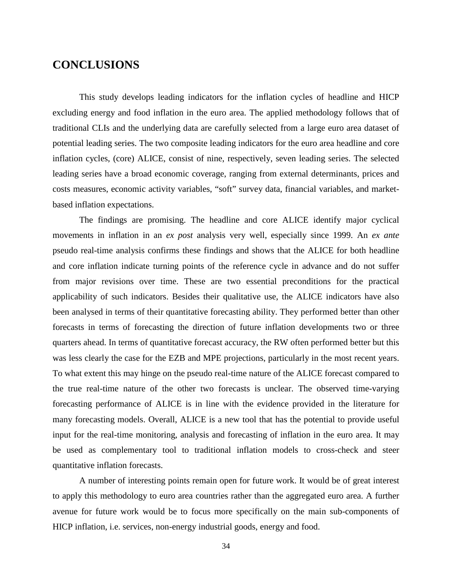### **CONCLUSIONS**

This study develops leading indicators for the inflation cycles of headline and HICP excluding energy and food inflation in the euro area. The applied methodology follows that of traditional CLIs and the underlying data are carefully selected from a large euro area dataset of potential leading series. The two composite leading indicators for the euro area headline and core inflation cycles, (core) ALICE, consist of nine, respectively, seven leading series. The selected leading series have a broad economic coverage, ranging from external determinants, prices and costs measures, economic activity variables, "soft" survey data, financial variables, and marketbased inflation expectations.

The findings are promising. The headline and core ALICE identify major cyclical movements in inflation in an *ex post* analysis very well, especially since 1999. An *ex ante* pseudo real-time analysis confirms these findings and shows that the ALICE for both headline and core inflation indicate turning points of the reference cycle in advance and do not suffer from major revisions over time. These are two essential preconditions for the practical applicability of such indicators. Besides their qualitative use, the ALICE indicators have also been analysed in terms of their quantitative forecasting ability. They performed better than other forecasts in terms of forecasting the direction of future inflation developments two or three quarters ahead. In terms of quantitative forecast accuracy, the RW often performed better but this was less clearly the case for the EZB and MPE projections, particularly in the most recent years. To what extent this may hinge on the pseudo real-time nature of the ALICE forecast compared to the true real-time nature of the other two forecasts is unclear. The observed time-varying forecasting performance of ALICE is in line with the evidence provided in the literature for many forecasting models. Overall, ALICE is a new tool that has the potential to provide useful input for the real-time monitoring, analysis and forecasting of inflation in the euro area. It may be used as complementary tool to traditional inflation models to cross-check and steer quantitative inflation forecasts.

A number of interesting points remain open for future work. It would be of great interest to apply this methodology to euro area countries rather than the aggregated euro area. A further avenue for future work would be to focus more specifically on the main sub-components of HICP inflation, i.e. services, non-energy industrial goods, energy and food.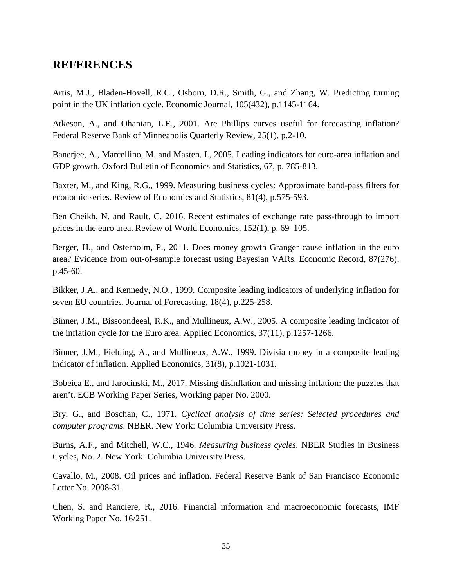# **REFERENCES**

Artis, M.J., Bladen-Hovell, R.C., Osborn, D.R., Smith, G., and Zhang, W. Predicting turning point in the UK inflation cycle. Economic Journal, 105(432), p.1145-1164.

Atkeson, A., and Ohanian, L.E., 2001. Are Phillips curves useful for forecasting inflation? Federal Reserve Bank of Minneapolis Quarterly Review, 25(1), p.2-10.

Banerjee, A., Marcellino, M. and Masten, I., 2005. Leading indicators for euro-area inflation and GDP growth. Oxford Bulletin of Economics and Statistics, 67, p. 785-813.

Baxter, M., and King, R.G., 1999. Measuring business cycles: Approximate band-pass filters for economic series. Review of Economics and Statistics, 81(4), p.575-593.

Ben Cheikh, N. and Rault, C. 2016. Recent estimates of exchange rate pass-through to import prices in the euro area. Review of World Economics, 152(1), p. 69–105.

Berger, H., and Osterholm, P., 2011. Does money growth Granger cause inflation in the euro area? Evidence from out-of-sample forecast using Bayesian VARs. Economic Record, 87(276), p.45-60.

Bikker, J.A., and Kennedy, N.O., 1999. Composite leading indicators of underlying inflation for seven EU countries. Journal of Forecasting, 18(4), p.225-258.

Binner, J.M., Bissoondeeal, R.K., and Mullineux, A.W., 2005. A composite leading indicator of the inflation cycle for the Euro area. Applied Economics, 37(11), p.1257-1266.

Binner, J.M., Fielding, A., and Mullineux, A.W., 1999. Divisia money in a composite leading indicator of inflation. Applied Economics, 31(8), p.1021-1031.

Bobeica E., and Jarocinski, M., 2017. Missing disinflation and missing inflation: the puzzles that aren't. ECB Working Paper Series, Working paper No. 2000.

Bry, G., and Boschan, C., 1971. *Cyclical analysis of time series: Selected procedures and computer programs*. NBER. New York: Columbia University Press.

Burns, A.F., and Mitchell, W.C., 1946. *Measuring business cycles*. NBER Studies in Business Cycles, No. 2. New York: Columbia University Press.

Cavallo, M., 2008. Oil prices and inflation. Federal Reserve Bank of San Francisco Economic Letter No. 2008-31.

Chen, S. and Ranciere, R., 2016. Financial information and macroeconomic forecasts, IMF Working Paper No. 16/251.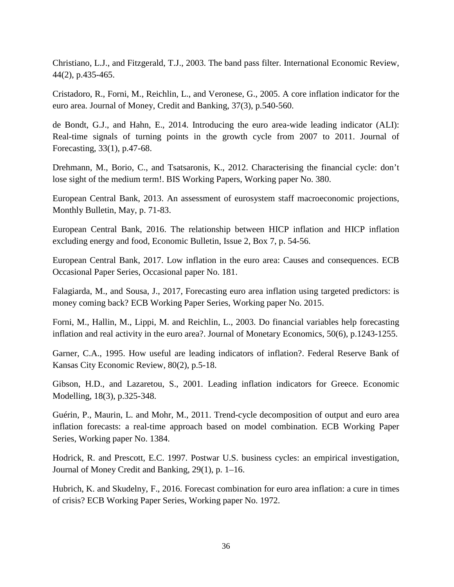Christiano, L.J., and Fitzgerald, T.J., 2003. The band pass filter. International Economic Review, 44(2), p.435-465.

Cristadoro, R., Forni, M., Reichlin, L., and Veronese, G., 2005. A core inflation indicator for the euro area. Journal of Money, Credit and Banking, 37(3), p.540-560.

de Bondt, G.J., and Hahn, E., 2014. Introducing the euro area-wide leading indicator (ALI): Real-time signals of turning points in the growth cycle from 2007 to 2011. Journal of Forecasting, 33(1), p.47-68.

Drehmann, M., Borio, C., and Tsatsaronis, K., 2012. Characterising the financial cycle: don't lose sight of the medium term!. BIS Working Papers, Working paper No. 380.

European Central Bank, 2013. An assessment of eurosystem staff macroeconomic projections, Monthly Bulletin, May, p. 71-83.

European Central Bank, 2016. The relationship between HICP inflation and HICP inflation excluding energy and food, Economic Bulletin, Issue 2, Box 7, p. 54-56.

European Central Bank, 2017. Low inflation in the euro area: Causes and consequences. ECB Occasional Paper Series, Occasional paper No. 181.

Falagiarda, M., and Sousa, J., 2017, Forecasting euro area inflation using targeted predictors: is money coming back? ECB Working Paper Series, Working paper No. 2015.

Forni, M., Hallin, M., Lippi, M. and Reichlin, L., 2003. Do financial variables help forecasting inflation and real activity in the euro area?. Journal of Monetary Economics, 50(6), p.1243-1255.

Garner, C.A., 1995. How useful are leading indicators of inflation?. Federal Reserve Bank of Kansas City Economic Review, 80(2), p.5-18.

Gibson, H.D., and Lazaretou, S., 2001. Leading inflation indicators for Greece. Economic Modelling, 18(3), p.325-348.

Guérin, P., Maurin, L. and Mohr, M., 2011. Trend-cycle decomposition of output and euro area inflation forecasts: a real-time approach based on model combination. ECB Working Paper Series, Working paper No. 1384.

Hodrick, R. and Prescott, E.C. 1997. Postwar U.S. business cycles: an empirical investigation, Journal of Money Credit and Banking, 29(1), p. 1–16.

Hubrich, K. and Skudelny, F., 2016. Forecast combination for euro area inflation: a cure in times of crisis? ECB Working Paper Series, Working paper No. 1972.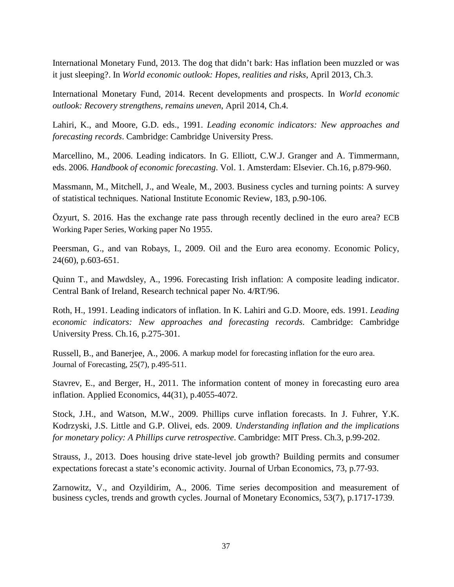International Monetary Fund, 2013. The dog that didn't bark: Has inflation been muzzled or was it just sleeping?. In *World economic outlook: Hopes, realities and risks*, April 2013, Ch.3.

International Monetary Fund, 2014. Recent developments and prospects. In *World economic outlook: Recovery strengthens, remains uneven*, April 2014, Ch.4.

Lahiri, K., and Moore, G.D. eds., 1991. *Leading economic indicators: New approaches and forecasting records*. Cambridge: Cambridge University Press.

Marcellino, M., 2006. Leading indicators. In G. Elliott, C.W.J. Granger and A. Timmermann, eds. 2006. *Handbook of economic forecasting*. Vol. 1. Amsterdam: Elsevier. Ch.16, p.879-960.

Massmann, M., Mitchell, J., and Weale, M., 2003. Business cycles and turning points: A survey of statistical techniques. National Institute Economic Review, 183, p.90-106.

Özyurt, S. 2016. Has the exchange rate pass through recently declined in the euro area? ECB Working Paper Series, Working paper No 1955.

Peersman, G., and van Robays, I., 2009. Oil and the Euro area economy. Economic Policy, 24(60), p.603-651.

Quinn T., and Mawdsley, A., 1996. Forecasting Irish inflation: A composite leading indicator. Central Bank of Ireland, Research technical paper No. 4/RT/96.

Roth, H., 1991. Leading indicators of inflation. In K. Lahiri and G.D. Moore, eds. 1991. *Leading economic indicators: New approaches and forecasting records*. Cambridge: Cambridge University Press. Ch.16, p.275-301.

Russell, B., and Banerjee, A., 2006. A markup model for forecasting inflation for the euro area. Journal of Forecasting, 25(7), p.495-511.

Stavrev, E., and Berger, H., 2011. The information content of money in forecasting euro area inflation. Applied Economics, 44(31), p.4055-4072.

Stock, J.H., and Watson, M.W., 2009. Phillips curve inflation forecasts. In J. Fuhrer, Y.K. Kodrzyski, J.S. Little and G.P. Olivei, eds. 2009. *Understanding inflation and the implications for monetary policy: A Phillips curve retrospective*. Cambridge: MIT Press. Ch.3, p.99-202.

Strauss, J., 2013. Does housing drive state-level job growth? Building permits and consumer expectations forecast a state's economic activity. Journal of Urban Economics, 73, p.77-93.

Zarnowitz, V., and Ozyildirim, A., 2006. Time series decomposition and measurement of business cycles, trends and growth cycles. Journal of Monetary Economics, 53(7), p.1717-1739.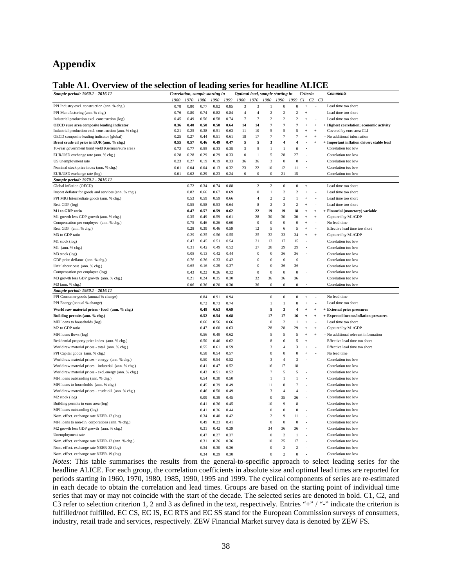## **Appendix**

#### **Table A1. Overview of the selection of leading series for headline ALICE**

| radic Art. Overview or the selection                   |      |                                 | <u>ul itaulil</u> |      |      | <b>SCLICS TOL</b>                |                  |                          |                  |                         |            |                | 11101                                     |
|--------------------------------------------------------|------|---------------------------------|-------------------|------|------|----------------------------------|------------------|--------------------------|------------------|-------------------------|------------|----------------|-------------------------------------------|
| Sample period: 1960.1 - 2016.11                        |      | Correlation, sample starting in |                   |      |      | Optimal lead, sample starting in |                  |                          |                  |                         | Criteria   |                | <b>Comments</b>                           |
|                                                        | 1960 | 1970                            | 1980              | 1990 | 1999 | 1960                             | 1970             | 1980                     | 1990             | 1999                    | C1         | C2             | C <sub>3</sub>                            |
| PPI Industry excl. construction (ann. % chg.)          | 0.78 | 0.80                            | 0.77              | 0.82 | 0.85 | $\overline{\mathbf{3}}$          | 3                | 1                        | $\theta$         | $\boldsymbol{0}$        | $\ddot{+}$ |                | Lead time too short                       |
| PPI Manufacturing (ann. % chg.)                        | 0.76 | 0.80                            | 0.74              | 0.82 | 0.84 | $\overline{4}$                   | $\overline{4}$   | $\overline{\mathcal{L}}$ | $\overline{c}$   | $\sqrt{2}$              | $\ddot{}$  |                | Lead time too short                       |
| Industrial production excl. construction (log)         | 0.45 | 0.49                            | 0.56              | 0.58 | 0.74 | $\overline{7}$                   | $\overline{7}$   | $\mathfrak{p}$           | $\mathfrak 2$    | $\sqrt{2}$              | $\ddot{}$  | ä              | Lead time too short                       |
| OECD euro area composite leading indicator             | 0.36 | 0.40                            | 0.50              | 0.50 | 0.64 | 14                               | 14               | 7                        | $\overline{7}$   | $\overline{7}$          | $\ddot{}$  | $\ddot{}$      | + Highest correlation; economic activity  |
| Industrial production excl. construction (ann. % chg.) | 0.21 | 0.25                            | 0.38              | 0.51 | 0.63 | 11                               | 10               | 5                        | 5                | 5                       | $\ddot{+}$ | $\ddot{+}$     | - Covered by euro area CLI                |
| OECD composite leading indicator (global)              | 0.25 | 0.27                            | 0.44              | 0.51 | 0.61 | 18                               | 17               | $\overline{7}$           | $\overline{7}$   | $\overline{7}$          | $\ddot{}$  | $\overline{+}$ | - No additional information               |
| Brent crude oil price in EUR (ann. % chg.)             | 0.55 | 0.57                            | 0.46              | 0.49 | 0.47 | 5                                | 5                | 3                        | $\overline{4}$   | 4                       | ä,         | $\ddot{}$      | + Important inflation driver; stable lead |
| 10-year government bond yield (German/euro area)       | 0.72 | 0.77                            | 0.55              | 0.33 | 0.35 | 3                                | $\sqrt{5}$       | $\mathbf{1}$             | $\mathbf{1}$     | $\boldsymbol{0}$        | í,         |                | Correlation too low                       |
| EUR/USD exchange rate (ann. % chg.)                    | 0.28 | 0.28                            | 0.29              | 0.29 | 0.33 | $\boldsymbol{0}$                 | 1                | $\mathfrak s$            | 28               | 27                      |            |                | Correlation too low                       |
| US unemployment rate                                   | 0.23 | 0.27                            | 0.19              | 0.19 | 0.33 | 36                               | 36               | 3                        | $\theta$         | $\bf{0}$                |            |                | Correlation too low                       |
| Nominal stock price index (ann. % chg.)                | 0.01 | 0.04                            | 0.04              | 0.13 | 0.32 | 23                               | 22               | 10                       | 12               | 11                      |            |                | Correlation too low                       |
| EUR/USD exchange rate (log)                            | 0.01 | 0.02                            | 0.29              | 0.23 | 0.24 | $\boldsymbol{0}$                 | $\boldsymbol{0}$ | $\boldsymbol{0}$         | 21               | 15                      |            |                | Correlation too low                       |
| Sample period: 1970.1 - 2016.11                        |      |                                 |                   |      |      |                                  |                  |                          |                  |                         |            |                |                                           |
| Global inflation (OECD)                                |      | 0.72                            | 0.34              | 0.74 | 0.88 |                                  | $\sqrt{2}$       | $\mathfrak{p}$           | 0                | $\bf{0}$                | $\ddot{}$  |                | Lead time too short                       |
| Import deflator for goods and services (ann. % chg.)   |      | 0.82                            | 0.66              | 0.67 | 0.69 |                                  | $\boldsymbol{0}$ | $\mathbf{1}$             | $\overline{c}$   | $\overline{c}$          | $\ddot{+}$ |                | Lead time too short                       |
| PPI MIG Intermediate goods (ann. % chg.)               |      | 0.53                            | 0.59              | 0.59 | 0.66 |                                  | $\overline{4}$   | $\mathfrak{p}$           | $\overline{c}$   | $\mathbf{1}$            | $\ddot{+}$ |                | Lead time too short                       |
| Real GDP (log)                                         |      | 0.55                            | 0.58              | 0.53 | 0.64 |                                  | $\,$ 8 $\,$      | $\overline{c}$           | 3                | $\overline{c}$          | $\ddot{+}$ |                | Lead time too short                       |
| M1 to GDP ratio                                        |      | 0.47                            | 0.57              | 0.59 | 0.62 |                                  | 22               | 19                       | 19               | 18                      | $\ddot{}$  | $\overline{+}$ | + Financial (monetary) variable           |
| M1 growth less GDP growth (ann. % chg.)                |      | 0.35                            | 0.49              | 0.59 | 0.61 |                                  | 28               | 30                       | 30               | 30                      | $\ddot{}$  |                | - Captured by M1/GDP                      |
| Compensation per employee (ann. % chg.)                |      | 0.75                            | 0.46              | 0.26 | 0.60 |                                  | $\boldsymbol{0}$ | $\bf{0}$                 | $\theta$         | $\bf{0}$                | $\ddot{+}$ |                | No lead time                              |
| Real GDP (ann. % chg.)                                 |      | 0.28                            | 0.39              | 0.46 | 0.59 |                                  | 12               | 5                        | 6                | 5                       | $\ddot{+}$ |                | Effective lead time too short             |
| M3 to GDP ratio                                        |      | 0.29                            | 0.35              | 0.56 | 0.55 |                                  | 25               | 32                       | 33               | 34                      | $\ddot{+}$ | $\ddot{+}$     | - Captured by M1/GDP                      |
| M1 stock (log)                                         |      | 0.47                            | 0.45              | 0.51 | 0.54 |                                  | 21               | 13                       | 17               | 15                      | J,         |                | Correlation too low                       |
| $M1$ (ann. % chg.)                                     |      | 0.31                            | 0.42              | 0.49 | 0.52 |                                  | 27               | 28                       | 29               | 29                      | J,         |                | Correlation too low                       |
| M3 stock (log)                                         |      | 0.08                            | 0.13              | 0.42 | 0.44 |                                  | $\mathbf{0}$     | $\bf{0}$                 | 36               | 36                      | J,         |                | Correlation too low                       |
| GDP price deflator (ann. % chg.)                       |      | 0.76                            | 0.36              | 0.33 | 0.42 |                                  | $\mathbf{0}$     | $\mathbf{0}$             | $\theta$         | $\Omega$                | J,         |                | Correlation too low                       |
| Unit labour cost (ann. % chg.)                         |      | 0.65                            | 0.16              | 0.29 | 0.37 |                                  | $\mathbf{0}$     | $\mathbf{0}$             | 36               | 36                      | ä,         |                | Correlation too low                       |
| Compensation per employee (log)                        |      | 0.43                            | 0.22              | 0.26 | 0.32 |                                  | $\boldsymbol{0}$ | $\boldsymbol{0}$         | $\boldsymbol{0}$ | $\bf{0}$                | ä,         |                | Correlation too low                       |
| M3 growth less GDP growth (ann. % chg.)                |      | 0.21                            | 0.24              | 0.35 | 0.30 |                                  | 32               | 36                       | 36               | 36                      | i,         |                | Correlation too low                       |
| M3 (ann. % chg.)                                       |      | 0.06                            | 0.36              | 0.20 | 0.30 |                                  | 36               | $\mathbf{0}$             | $\boldsymbol{0}$ | $\bf{0}$                |            |                | Correlation too low                       |
| Sample period: 1980.1 - 2016.11                        |      |                                 |                   |      |      |                                  |                  |                          |                  |                         |            |                |                                           |
| PPI Consumer goods (annual % change)                   |      |                                 | 0.84              | 0.91 | 0.94 |                                  |                  | $\boldsymbol{0}$         | $\boldsymbol{0}$ | $\bf{0}$                | $\ddot{}$  |                | No lead time                              |
| PPI Energy (annual % change)                           |      |                                 | 0.72              | 0.73 | 0.74 |                                  |                  | $\,1$                    | $\mathbf{1}$     | $\boldsymbol{0}$        | $\ddot{}$  |                | Lead time too short                       |
| World raw material prices - food (ann. % chg.)         |      |                                 | 0.49              | 0.63 | 0.69 |                                  |                  | 5                        | 3                | $\overline{\mathbf{4}}$ | $\ddot{}$  | $\overline{+}$ | + External price pressures                |
| Building permits (ann. % chg.)                         |      |                                 | 0.52              | 0.54 | 0.68 |                                  |                  | 17                       | 17               | 16                      | $\ddot{}$  | $\ddot{}$      | + Expected income/inflation pressures     |
| MFI loans to households (log)                          |      |                                 | 0.66              | 0.56 | 0.66 |                                  |                  | $\bf{0}$                 | $\sqrt{2}$       | $\mathbf{1}$            |            |                | Lead time too short                       |
| M2 to GDP ratio                                        |      |                                 | 0.47              | 0.60 | 0.63 |                                  |                  | 28                       | 28               | 29                      | $\ddot{}$  | $\overline{+}$ | - Captured by M1/GDP                      |
| MFI loans flows (log)                                  |      |                                 | 0.56              | 0.49 | 0.62 |                                  |                  | 5                        | 5                | 5                       | $\ddot{+}$ |                | - No additional relevant information      |
| Residential property price index (ann. % chg.)         |      |                                 | 0.50              | 0.46 | 0.62 |                                  |                  | 8                        | 6                | $\overline{5}$          | $\ddot{+}$ |                | Effective lead time too short             |
| World raw material prices - total (ann. % chg.)        |      |                                 | 0.55              | 0.61 | 0.59 |                                  |                  | 3                        | $\overline{4}$   | 3                       | $^{+}$     |                | Effective lead time too short             |
| PPI Capital goods (ann. % chg.)                        |      |                                 | 0.58              | 0.54 | 0.57 |                                  |                  | $\theta$                 | $\theta$         | $\theta$                | $\ddot{+}$ |                | No lead time                              |
| World raw material prices - energy (ann. % chg.)       |      |                                 | 0.50              | 0.54 | 0.52 |                                  |                  | 3                        | $\overline{4}$   | $\overline{\mathbf{3}}$ |            |                | Correlation too low                       |
| World raw material prices - industrial (ann. % chg.)   |      |                                 | 0.41              | 0.47 | 0.52 |                                  |                  | 16                       | 17               | 18                      | í,         |                | Correlation too low                       |
| World raw material prices - excl.energy (ann. % chg.)  |      |                                 | 0.43              | 0.51 | 0.52 |                                  |                  | $\overline{\tau}$        | 5                | 5                       | ä,         |                | Correlation too low                       |
| MFI loans outstanding (ann. % chg.)                    |      |                                 | 0.54              | 0.30 | 0.50 |                                  |                  | $\mathbf{1}$             | $\mathbf{1}$     | $\mathbf{1}$            |            |                | Correlation too low                       |
| MFI loans to households (ann. % chg.)                  |      |                                 | 0.45              | 0.39 | 0.49 |                                  |                  | 11                       | 8                | $\tau$                  | í,         |                | Correlation too low                       |
|                                                        |      |                                 |                   |      |      |                                  |                  |                          | $\overline{4}$   |                         | í,         |                |                                           |
| World raw material prices - crude oil (ann. % chg.)    |      |                                 | 0.46              | 0.50 | 0.49 |                                  |                  | 3                        |                  | $\sqrt{4}$              |            |                | Correlation too low                       |
| M <sub>2</sub> stock (log)                             |      |                                 | 0.09              | 0.39 | 0.45 |                                  |                  | $\boldsymbol{0}$         | 35               | 36                      |            |                | Correlation too low                       |
| Building permits in euro area (log)                    |      |                                 | 0.41              | 0.36 | 0.45 |                                  |                  | 10                       | 9                | 8                       |            |                | Correlation too low                       |
| MFI loans outstanding (log)                            |      |                                 | 0.41              | 0.36 | 0.44 |                                  |                  | $\mathbf{0}$             | $\theta$         | $\bf{0}$                | J,         |                | Correlation too low                       |
| Nom. effect. exchange rate NEER-12 (log)               |      |                                 | 0.34              | 0.40 | 0.42 |                                  |                  | $\overline{\mathcal{L}}$ | $\overline{9}$   | 11                      |            |                | Correlation too low                       |
| MFI loans to non-fin. corporations (ann. % chg.)       |      |                                 | 0.49              | 0.23 | 0.41 |                                  |                  | $\mathbf{0}$             | $\boldsymbol{0}$ | $\theta$                |            |                | Correlation too low                       |
| M2 growth less GDP growth (ann. % chg.)                |      |                                 | 0.31              | 0.42 | 0.39 |                                  |                  | 34                       | 36               | 36                      |            |                | Correlation too low                       |
| Unemployment rate                                      |      |                                 | 0.47              | 0.27 | 0.37 |                                  |                  | $\Omega$                 | $\sqrt{2}$       | $\mathbf{1}$            | ä,         |                | Correlation too low                       |
| Nom. effect. exchange rate NEER-12 (ann. % chg.)       |      |                                 | 0.31              | 0.26 | 0.36 |                                  |                  | 10                       | 25               | 17                      |            |                | Correlation too low                       |
| Nom. effect. exchange rate NEER-38 (log)               |      |                                 | 0.34              | 0.30 | 0.36 |                                  |                  | $\bf{0}$                 | $\,2\,$          | $\overline{2}$          |            |                | Correlation too low                       |
| Nom. effect. exchange rate NEER-19 (log)               |      |                                 | 0.34              | 0.29 | 0.30 |                                  |                  | $\mathbf{0}$             | $\overline{c}$   | $\mathbf{0}$            |            |                | Correlation too low                       |

*Notes*: This table summarises the results from the general-to-specific approach to select leading series for the headline ALICE. For each group, the correlation coefficients in absolute size and optimal lead times are reported for periods starting in 1960, 1970, 1980, 1985, 1990, 1995 and 1999. The cyclical components of series are re-estimated in each decade to obtain the correlation and lead times. Groups are based on the starting point of individual time series that may or may not coincide with the start of the decade. The selected series are denoted in bold. C1, C2, and C3 refer to selection criterion 1, 2 and 3 as defined in the text, respectively. Entries "+" / "-" indicate the criterion is fulfilled/not fulfilled. EC CS, EC IS, EC RTS and EC SS stand for the European Commission surveys of consumers, industry, retail trade and services, respectively. ZEW Financial Market survey data is denoted by ZEW FS.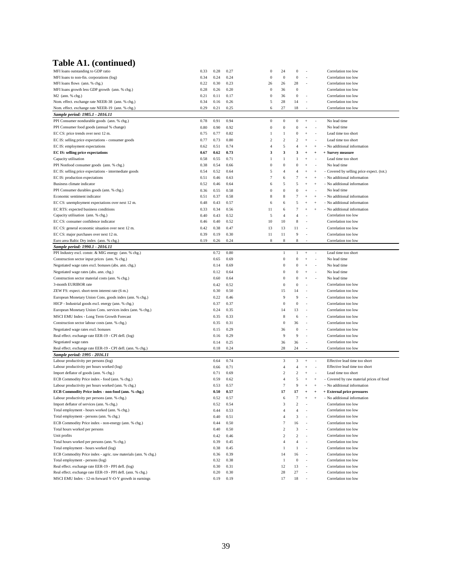### **Table A1. (continued)**

| MFI loans outstanding to GDP ratio                             | 0.33 | 0.28 | 0.27 | $\mathbf{0}$           | 24               | 0                |                          |                          | Correlation too low                        |
|----------------------------------------------------------------|------|------|------|------------------------|------------------|------------------|--------------------------|--------------------------|--------------------------------------------|
| MFI loans to non-fin. corporations (log)                       |      |      |      | $\boldsymbol{0}$       | $\bf{0}$         | $\mathbf{0}$     |                          |                          | Correlation too low                        |
|                                                                | 0.34 | 0.24 | 0.24 |                        |                  |                  |                          |                          |                                            |
| MFI loans flows (ann. % chg.)                                  | 0.22 | 0.30 | 0.23 | 26<br>$\boldsymbol{0}$ | 26<br>36         | 28               |                          |                          | Correlation too low<br>Correlation too low |
| MFI loans growth less GDP growth (ann. % chg.)                 | 0.28 | 0.26 | 0.20 |                        |                  | $\bf{0}$         |                          |                          |                                            |
| M2 (ann. % chg.)                                               | 0.21 | 0.11 | 0.17 | $\boldsymbol{0}$       | 36               | $\boldsymbol{0}$ |                          |                          | Correlation too low                        |
| Nom. effect. exchange rate NEER-38 (ann. % chg.)               | 0.34 | 0.16 | 0.26 | 5                      | 28               | 14               |                          |                          | Correlation too low                        |
| Nom. effect. exchange rate NEER-19 (ann. % chg.)               | 0.29 | 0.21 | 0.25 | 6                      | 27               | 18               |                          |                          | Correlation too low                        |
| Sample period: 1985.1 - 2016.11                                |      |      |      |                        |                  |                  |                          |                          |                                            |
| PPI Consumer nondurable goods (ann. % chg.)                    | 0.78 | 0.91 | 0.94 | $\boldsymbol{0}$       | $\boldsymbol{0}$ | $\bf{0}$         | $^{+}$                   |                          | No lead time                               |
| PPI Consumer food goods (annual % change)                      | 0.80 | 0.90 | 0.92 | $\boldsymbol{0}$       | $\bf{0}$         | $\boldsymbol{0}$ | $\overline{+}$           |                          | No lead time                               |
| EC CS: price trends over next 12 m.                            | 0.75 | 0.77 | 0.82 | $\mathbf{1}$           | 1                | 0                | $\overline{+}$           |                          | Lead time too short                        |
| EC IS: selling price expectations - consumer goods             | 0.77 | 0.73 | 0.80 | $\overline{2}$         | $\,2$            | 2                | $\ddot{}$                | $\overline{\phantom{a}}$ | Lead time too short                        |
| EC IS: employment expectations                                 | 0.62 | 0.51 | 0.74 | $\overline{4}$         | 5                | $\overline{4}$   | $\overline{+}$           | $\ddot{+}$               | No additional information                  |
| <b>EC IS: selling price expectations</b>                       | 0.67 | 0.62 | 0.73 | 3                      | 3                | 3                | $\ddot{}$                | $\ddot{}$                | + Survey measure                           |
| Capacity utilisation                                           | 0.58 | 0.55 | 0.71 | $\mathbf{1}$           | 1                | 1                |                          |                          | Lead time too short                        |
|                                                                |      |      |      |                        |                  |                  |                          |                          | No lead time                               |
| PPI Nonfood consumer goods (ann. % chg.)                       | 0.38 | 0.54 | 0.66 | $\boldsymbol{0}$       | $\bf{0}$         | $\bf{0}$         | $\overline{+}$           |                          |                                            |
| EC IS: selling price expectations - intermediate goods         | 0.54 | 0.52 | 0.64 | 5                      | 4                | 4                | $\overline{+}$           | $^{+}$                   | - Covered by selling price expect. (tot.)  |
| EC IS: production expectations                                 | 0.51 | 0.46 | 0.63 | $\overline{7}$         | 6                | 7                | $\overline{+}$           | $^{+}$                   | - No additional information                |
| Business climate indicator                                     | 0.52 | 0.46 | 0.64 | 6                      | 5                | 5                | $^{+}$                   | $\ddot{}$                | - No additional information                |
| PPI Consumer durables goods (ann. % chg.)                      | 0.36 | 0.55 | 0.58 | $\boldsymbol{0}$       | $\overline{0}$   | $\theta$         | $\ddot{+}$               |                          | No lead time                               |
| Economic sentiment indicator                                   | 0.51 | 0.37 | 0.58 | 8                      | 8                | $\overline{7}$   | $\overline{+}$           | $\ddot{}$                | - No additional information                |
| EC CS: unemployment expectations over next 12 m.               | 0.48 | 0.43 | 0.57 | 6                      | 6                | 5                | $\overline{+}$           | $^{+}$                   | - No additional information                |
| EC RTS: expected business conditions                           | 0.33 | 0.34 | 0.56 | 11                     | 6                |                  | $\ddot{}$                | $^{+}$                   | No additional information                  |
| Capacity utilisation (ann. % chg.)                             | 0.40 | 0.43 | 0.52 | 5                      | $\overline{4}$   | $\overline{4}$   | ٠                        |                          | Correlation too low                        |
| EC CS: consumer confidence indicator                           | 0.46 | 0.40 | 0.52 | 10                     | 10               | 8                |                          |                          | Correlation too low                        |
| EC CS: general economic situation over next 12 m.              | 0.42 | 0.38 | 0.47 | 13                     | 13               | 11               |                          |                          | Correlation too low                        |
|                                                                | 0.39 | 0.19 | 0.30 | 11                     | 11               | 9                |                          |                          | Correlation too low                        |
| EC CS: major purchases over next 12 m.                         |      |      |      |                        |                  |                  |                          |                          |                                            |
| Euro area Baltic Dry index (ann. % chg.)                       | 0.19 | 0.26 | 0.24 | 8                      | 8                | 8                |                          |                          | Correlation too low                        |
| Sample period: 1990.1 - 2016.11                                |      |      |      |                        |                  |                  |                          |                          |                                            |
| PPI Industry excl. constr. & MIG energy (ann. % chg.)          |      | 0.72 | 0.80 |                        | 1                | 1                | $+$                      | $\overline{\phantom{a}}$ | Lead time too short                        |
| Construction sector input prices (ann. % chg.)                 |      | 0.65 | 0.69 |                        | $\boldsymbol{0}$ | $\bf{0}$         | $\overline{1}$           |                          | No lead time                               |
| Negotiated wage rates excl. bonuses (abs. ann. chg.)           |      | 0.14 | 0.69 |                        | $\bf{0}$         | $\bf{0}$         | $\overline{+}$           |                          | No lead time                               |
| Negotiated wage rates (abs. ann. chg.)                         |      | 0.12 | 0.64 |                        | $\bf{0}$         | 0                | $\overline{+}$           |                          | No lead time                               |
| Construction sector material costs (ann. % chg.)               |      | 0.60 | 0.64 |                        | 0                | 0                | $\overline{+}$           |                          | No lead time                               |
| 3-month EURIBOR rate                                           |      | 0.42 | 0.52 |                        | 0                | 0                |                          |                          | Correlation too low                        |
| ZEW FS: expect. short-term interest rate (6 m.)                |      | 0.30 | 0.50 |                        | 15               | 14               | ٠                        |                          | Correlation too low                        |
| European Monetary Union Cons. goods index (ann. % chg.)        |      | 0.22 | 0.46 |                        | 9                | 9                |                          |                          | Correlation too low                        |
| HICP - Industrial goods excl. energy (ann. % chg.)             |      | 0.37 | 0.37 |                        | $\boldsymbol{0}$ | $\bf{0}$         | ÷                        |                          | Correlation too low                        |
| European Monetary Union Cons. services index (ann. % chg.)     |      |      |      |                        |                  |                  |                          |                          |                                            |
|                                                                |      |      |      |                        |                  |                  |                          |                          |                                            |
|                                                                |      | 0.24 | 0.35 |                        | 14               | 13               |                          |                          | Correlation too low                        |
| MSCI EMU Index - Long Term Growth Forecast                     |      | 0.35 | 0.33 |                        | 8                | 6                |                          |                          | Correlation too low                        |
| Construction sector labour costs (ann. % chg.)                 |      | 0.35 | 0.31 |                        | $\boldsymbol{0}$ | 36               |                          |                          | Correlation too low                        |
| Negotiated wage rates excl. bonuses                            |      | 0.15 | 0.29 |                        | 36               | $\bf{0}$         |                          |                          | Correlation too low                        |
| Real effect. exchange rate EER-19 - CPI defl. (log)            |      | 0.16 | 0.29 |                        | 9                | 9                | ä,                       |                          | Correlation too low                        |
| Negotiated wage rates                                          |      | 0.14 | 0.25 |                        | 36               | 36               |                          |                          | Correlation too low                        |
| Real effect. exchange rate EER-19 - CPI defl. (ann. % chg.)    |      | 0.18 | 0.24 |                        | 28               | 24               |                          |                          | Correlation too low                        |
| Sample period: 1995 - 2016.11                                  |      |      |      |                        |                  |                  |                          |                          |                                            |
| Labour productivity per persons (log)                          |      | 0.64 | 0.74 |                        | 3                | 3                | $^{+}$                   |                          | Effective lead time too short              |
| Labour productivity per hours worked (log)                     |      | 0.66 | 0.71 |                        | $\overline{4}$   | $\overline{4}$   | $\overline{+}$           | $\overline{\phantom{a}}$ | Effective lead time too short              |
| Import deflator of goods (ann. % chg.)                         |      | 0.71 | 0.69 |                        | $\overline{c}$   | $\overline{2}$   |                          |                          | Lead time too short                        |
|                                                                |      | 0.59 | 0.62 |                        | 4                | 5                | $\overline{+}$           | $\ddot{}$                |                                            |
| ECB Commodity Price index - food (ann. % chg.)                 |      |      |      |                        | $\overline{7}$   | 9                | $\overline{+}$           | $^{+}$                   | Covered by raw material prices of food     |
| Labour productivity per hours worked (ann. % chg.)             |      | 0.53 | 0.57 |                        |                  |                  |                          |                          | - No additional information                |
| ECB Commodity Price index - non-food (ann. % chg.)             |      | 0.50 | 0.57 |                        | 17               | 17               | $\ddot{}$                | $\ddot{}$                | + External price pressures                 |
| Labour productivity per persons (ann. % chg.)                  |      | 0.52 | 0.57 |                        | 6                | 7                | $^{+}$                   | $^{+}$                   | No additional information                  |
| Import deflator of services (ann. % chg.)                      |      | 0.52 | 0.54 |                        | 3                | $\overline{2}$   |                          |                          | Correlation too low                        |
| Total employment - hours worked (ann. % chg.)                  |      | 0.44 | 0.53 |                        | 4                | 4                |                          |                          | Correlation too low                        |
| Total employment - persons (ann. % chg.)                       |      | 0.40 | 0.51 |                        | 4                | 3                |                          |                          | Correlation too low                        |
| ECB Commodity Price index - non-energy (ann. % chg.)           |      | 0.44 | 0.50 |                        | 7                | 16               |                          |                          | Correlation too low                        |
| Total hours worked per persons                                 |      | 0.40 | 0.50 |                        | $\mathfrak{p}$   | 3                |                          |                          | Correlation too low                        |
| Unit profits                                                   |      | 0.42 | 0.46 |                        | $\,2$            | $\overline{c}$   |                          |                          | Correlation too low                        |
| Total hours worked per persons (ann. % chg.)                   |      | 0.39 | 0.45 |                        | $\overline{4}$   | $\overline{4}$   | $\overline{\phantom{a}}$ |                          | Correlation too low                        |
| Total employment - hours worked (log)                          |      | 0.38 | 0.45 |                        | 1                | 1                |                          |                          | Correlation too low                        |
| ECB Commodity Price index - agric. raw materials (ann. % chg.) |      | 0.36 | 0.39 |                        | 14               | 16               |                          |                          | Correlation too low                        |
| Total employment - persons (log)                               |      | 0.32 | 0.38 |                        | -1               | $\bf{0}$         | $\overline{\phantom{a}}$ |                          | Correlation too low                        |
| Real effect. exchange rate EER-19 - PPI defl. (log)            |      | 0.30 | 0.31 |                        | 12               | 13               | ٠                        |                          | Correlation too low                        |
| Real effect. exchange rate EER-19 - PPI defl. (ann. % chg.)    |      | 0.20 | 0.30 |                        | 28               | 27               |                          |                          | Correlation too low                        |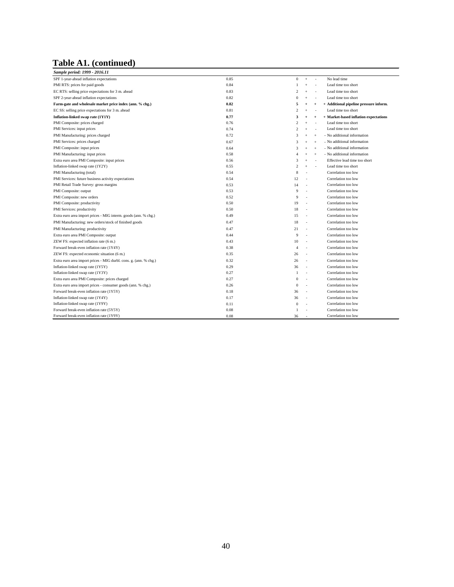# **Table A1. (continued)**

| Sample period: 1999 - 2016.11                                     |      |                         |                |                |                                        |
|-------------------------------------------------------------------|------|-------------------------|----------------|----------------|----------------------------------------|
| SPF 1-year-ahead inflation expectations                           | 0.85 | $\Omega$                | $\ddot{}$      | ÷,             | No lead time                           |
| PMI RTS: prices for paid goods                                    | 0.84 | 1                       | $\ddot{+}$     | ٠              | Lead time too short                    |
| EC RTS: selling price expectations for 3 m. ahead                 | 0.83 | $\mathcal{D}$           | $\ddot{}$      |                | Lead time too short                    |
| SPF 2-year-ahead inflation expectations                           | 0.82 | $\theta$                | $\ddot{+}$     |                | Lead time too short                    |
| Farm-gate and wholesale market price index (ann. % chg.)          | 0.82 | 5                       | $\overline{+}$ | $\overline{1}$ | + Additional pipeline pressure inform. |
| EC SS: selling price expectations for 3 m. ahead                  | 0.81 | $\overline{\mathbf{c}}$ | $\overline{+}$ |                | Lead time too short                    |
| Inflation-linked swap rate (1Y1Y)                                 | 0.77 | 3                       | $\overline{+}$ | $\overline{+}$ | + Market-based inflation expectations  |
| PMI Composite: prices charged                                     | 0.76 | $\overline{\mathbf{c}}$ | $\overline{+}$ | ٠              | Lead time too short                    |
| PMI Services: input prices                                        | 0.74 | $\overline{\mathbf{c}}$ | $\ddot{+}$     | ÷,             | Lead time too short                    |
| PMI Manufacturing: prices charged                                 | 0.72 | 3                       | $\ddot{+}$     | $\overline{+}$ | - No additional information            |
| PMI Services: prices charged                                      | 0.67 | 3                       | $\overline{+}$ | $\overline{+}$ | - No additional information            |
| PMI Composite: input prices                                       | 0.64 | 3                       | $\ddot{+}$     | $\overline{+}$ | - No additional information            |
| PMI Manufacturing: input prices                                   | 0.58 | Δ                       | $^{+}$         | $\overline{+}$ | - No additional information            |
| Extra euro area PMI Composite: input prices                       | 0.56 | 3                       | $\ddot{+}$     | ÷,             | Effective lead time too short          |
| Inflation-linked swap rate (1Y2Y)                                 | 0.55 | $\mathcal{P}$           | $\ddot{}$      | ÷,             | Lead time too short                    |
| PMI Manufacturing (total)                                         | 0.54 | 8                       |                |                | Correlation too low                    |
| PMI Services: future business activity expectations               | 0.54 | 12                      |                |                | Correlation too low                    |
| PMI Retail Trade Survey: gross margins                            | 0.53 | 14                      |                |                | Correlation too low                    |
| PMI Composite: output                                             | 0.53 | 9                       |                |                | Correlation too low                    |
| PMI Composite: new orders                                         | 0.52 | 9                       | ×.             |                | Correlation too low                    |
| PMI Composite: productivity                                       | 0.50 | 19                      | ÷              |                | Correlation too low                    |
| PMI Services: productivity                                        | 0.50 | 18                      |                |                | Correlation too low                    |
| Extra euro area import prices - MIG interm. goods (ann. % chg.)   | 0.49 | 15                      | ÷              |                | Correlation too low                    |
| PMI Manufacturing: new orders/stock of finished goods             | 0.47 | 18                      |                |                | Correlation too low                    |
| PMI Manufacturing: productivity                                   | 0.47 | 21                      |                |                | Correlation too low                    |
| Extra euro area PMI Composite: output                             | 0.44 | 9                       |                |                | Correlation too low                    |
| ZEW FS: expected inflation rate (6 m.)                            | 0.43 | 10                      | ×.             |                | Correlation too low                    |
| Forward break-even inflation rate (1Y4Y)                          | 0.38 | $\Delta$                | ×.             |                | Correlation too low                    |
| ZEW FS: expected economic situation (6 m.)                        | 0.35 | 26                      | $\sim$         |                | Correlation too low                    |
| Extra euro area import prices - MIG durbl. cons. g. (ann. % chg.) | 0.32 | 26                      | ÷              |                | Correlation too low                    |
| Inflation-linked swap rate (1Y5Y)                                 | 0.29 | 36                      |                |                | Correlation too low                    |
| Inflation-linked swap rate (1Y3Y)                                 | 0.27 | 1                       | ÷              |                | Correlation too low                    |
| Extra euro area PMI Composite: prices charged                     | 0.27 | $\mathbf{0}$            |                |                | Correlation too low                    |
| Extra euro area import prices - consumer goods (ann. % chg.)      | 0.26 | $\mathbf{0}$            | ÷              |                | Correlation too low                    |
| Forward break-even inflation rate (1Y5Y)                          | 0.18 | 36                      | ×.             |                | Correlation too low                    |
| Inflation-linked swap rate (1Y4Y)                                 | 0.17 | 36                      | ÷              |                | Correlation too low                    |
| Inflation-linked swap rate (1Y9Y)                                 | 0.11 | $\mathbf{0}$            | ×.             |                | Correlation too low                    |
| Forward break-even inflation rate (5Y5Y)                          | 0.08 | 1                       |                |                | Correlation too low                    |
| Forward break-even inflation rate (1Y9Y)                          | 0.08 | 36                      |                |                | Correlation too low                    |

<u> 1989 - Johann Barn, mars ann an t-Amhain Aonaich an t-Aonaich an t-Aonaich ann an t-Aonaich ann an t-Aonaich</u>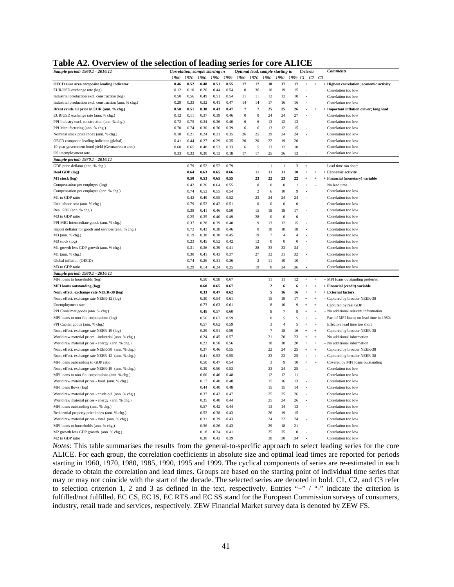**Table A2. Overview of the selection of leading series for core ALICE**

| $\frac{1}{2}$                                          |              |                                 | <b><i><u>UL IVWWIII</u></i></b> |              |              | <b>DULIUD LUL</b>                |                  | $\ddot{\phantom{0}}$ |                  | <u>.</u>         | ິ                          |                        |                                          |
|--------------------------------------------------------|--------------|---------------------------------|---------------------------------|--------------|--------------|----------------------------------|------------------|----------------------|------------------|------------------|----------------------------|------------------------|------------------------------------------|
| Sample period: 1960.1 - 2016.11                        |              | Correlation, sample starting in | 1980                            | 1990         |              | Optimal lead, sample starting in |                  |                      |                  |                  | Criteria                   |                        | <b>Comments</b>                          |
| OECD euro area composite leading indicator             | 1960<br>0.46 | 1970<br>0.52                    | 0.48                            | 0.51         | 1999<br>0.55 | 1960<br>17                       | 1970<br>17       | 1980<br>18           | 1990<br>17       | 1999<br>17       | Cl<br>$\ddot{\phantom{1}}$ | $C2$ $C3$<br>$\ddot{}$ | + Highest correlation; economic activity |
| EUR/USD exchange rate (log)                            | 0.12         | 0.10                            | 0.20                            | 0.44         | 0.54         | $\Omega$                         | 36               | 10                   | 19               | 15               |                            |                        | Correlation too low                      |
| Industrial production excl. construction (log)         | 0.50         | 0.56                            | 0.49                            | 0.51         | 0.54         | 11                               | 11               | 12                   | 12               | 10               |                            |                        | Correlation too low                      |
| Industrial production excl. construction (ann. % chg.) | 0.29         | 0.33                            | 0.32                            | 0.41         | 0.47         | 14                               | 14               | 17                   | 16               | 16               | ÷,                         |                        | Correlation too low                      |
| Brent crude oil price in EUR (ann. % chg.)             | 0.50         | 0.51                            | 0.38                            | 0.43         | 0.47         | $\overline{7}$                   | $\overline{7}$   | 25                   | 25               |                  |                            |                        | + Important inflation driver; long lead  |
|                                                        | 0.12         | 0.11                            | 0.37                            | 0.39         | 0.46         | $\theta$                         | $\boldsymbol{0}$ | 24                   | 24               | 26<br>27         | ł,                         | $\ddot{}$              | Correlation too low                      |
| EUR/USD exchange rate (ann. % chg.)                    |              |                                 |                                 | 0.36         |              |                                  |                  |                      |                  |                  |                            |                        |                                          |
| PPI Industry excl. construction (ann. % chg.)          | 0.72         | 0.75                            | 0.34                            |              | 0.40         | 6                                | 6                | 13                   | 12               | 13               |                            |                        | Correlation too low                      |
| PPI Manufacturing (ann. % chg.)                        | 0.70         | 0.74                            | 0.30                            | 0.36         | 0.39         | 6                                | 6                | 13                   | 12               | 15               |                            |                        | Correlation too low                      |
| Nominal stock price index (ann. % chg.)                | 0.18         | 0.21                            | 0.24                            | 0.21         | 0.35         | 26                               | 25               | 29                   | 24               | 24               |                            |                        | Correlation too low                      |
| OECD composite leading indicator (global)              | 0.41         | 0.44                            | 0.27                            | 0.29         | 0.35         | 20                               | 20               | 22                   | 19               | 20               |                            |                        | Correlation too low                      |
| 10-year government bond yield (German/euro area)       | 0.60         | 0.65                            | 0.48                            | 0.53         | 0.33         | 6                                | 5                | 13                   | 12               | 10               |                            |                        | Correlation too low                      |
| US unemployment rate                                   | 0.33         | 0.33                            | 0.30                            | 0.13         | 0.18         | 17                               | 17               | 25                   | 36               | 13               | ł.                         |                        | Correlation too low                      |
| Sample period: 1970.1 - 2016.11                        |              |                                 |                                 |              |              |                                  |                  |                      |                  |                  |                            |                        |                                          |
| GDP price deflator (ann. % chg.)                       |              | 0.79                            | 0.52                            | 0.52         | 0.79         |                                  | 1                | $\mathbf{1}$         | $\mathbf{1}$     | 3                | $\ddot{+}$                 |                        | Lead time too short                      |
| Real GDP (log)                                         |              | 0.64                            | 0.63                            | 0.65         | 0.66         |                                  | 11               | 11                   | 11               | 10               | $^{+}$                     | $\ddot{}$              | + Economic activity                      |
| M1 stock (log)                                         |              | 0.50                            | 0.53                            | 0.65         | 0.55         |                                  | 23               | 22                   | 23               | 22               | $\overline{1}$             | $\ddot{}$              | + Financial (monetary) variable          |
| Compensation per employee (log)                        |              | 0.42                            | 0.26                            | 0.64         | 0.55         |                                  | $\bf{0}$         | $\bf{0}$             | $\boldsymbol{0}$ | $\mathbf{1}$     | $\ddot{+}$                 |                        | No lead time                             |
| Compensation per employee (ann. % chg.)                |              | 0.74                            | 0.52                            | 0.55         | 0.54         |                                  | $\overline{c}$   | 6                    | 10               | 9                |                            |                        | Correlation too low                      |
| M1 to GDP ratio                                        |              | 0.42                            | 0.49                            | 0.55         | 0.52         |                                  | 23               | 24                   | 24               | 24               |                            |                        | Correlation too low                      |
| Unit labour cost (ann. % chg.)                         |              | 0.79                            | 0.52                            | 0.42         | 0.51         |                                  | $\mathbf{0}$     | $\mathbf{0}$         | $\boldsymbol{0}$ | $\mathbf{0}$     |                            |                        | Correlation too low                      |
| Real GDP (ann. % chg.)                                 |              | 0.38                            | 0.41                            | 0.46         | 0.50         |                                  | 15               | 18                   | 18               | 17               | ä,                         |                        | Correlation too low                      |
| M3 to GDP ratio                                        |              | 0.25                            | 0.35                            | 0.40         | 0.49         |                                  | 28               | $\bf{0}$             | $\boldsymbol{0}$ | $\bf{0}$         |                            |                        | Correlation too low                      |
| PPI MIG Intermediate goods (ann. % chg.)               |              | 0.37                            | 0.28                            | 0.39         | 0.48         |                                  | $\mathbf Q$      | 13                   | 12               | 15               | ł.                         |                        | Correlation too low                      |
| Import deflator for goods and services (ann. % chg.)   |              | 0.72                            | 0.43                            | 0.38         | 0.46         |                                  | $\bf{0}$         | 18                   | 18               | 18               |                            |                        | Correlation too low                      |
| M3 (ann. % chg.)                                       |              | 0.19                            | 0.38                            | 0.30         | 0.45         |                                  | 19               | $\overline{7}$       | $\overline{4}$   | $\overline{4}$   |                            |                        | Correlation too low                      |
| M3 stock (log)                                         |              | 0.23                            | 0.45                            | 0.52         | 0.42         |                                  | 12               | $\bf{0}$             | $\bf{0}$         | $\bf{0}$         |                            |                        | Correlation too low                      |
| M1 growth less GDP growth (ann. % chg.)                |              | 0.31                            | 0.36                            | 0.39         | 0.41         |                                  | 28               | 33                   | 33               | 34               | ٠                          |                        | Correlation too low                      |
| M1 (ann. % chg.)                                       |              | 0.30                            | 0.41                            | 0.43         | 0.37         |                                  | 27               | 32                   | 31               | 32               |                            |                        | Correlation too low                      |
| Global inflation (OECD)                                |              | 0.74                            | 0.26                            | 0.31         | 0.36         |                                  | $\overline{c}$   | 11                   | 10               | 10               | ÷,                         |                        | Correlation too low                      |
| M3 to GDP ratio                                        |              | 0.29                            | 0.14                            | 0.24         | 0.25         |                                  | 19               | $\boldsymbol{0}$     | 34               | 36               |                            |                        | Correlation too low                      |
| Sample period: 1980.1 - 2016.11                        |              |                                 |                                 |              |              |                                  |                  |                      |                  |                  |                            |                        |                                          |
| MFI loans to households (log)                          |              |                                 | 0.50                            | 0.58         | 0.67         |                                  |                  | $1\,1$               | 11               | 12               | $\ddot{}$                  | $\ddot{\phantom{1}}$   | - MFI loans outstanding preferred        |
| <b>MFI</b> loans outstanding (log)                     |              |                                 | 0.60                            | 0.65         | 0.67         |                                  |                  | $\overline{2}$       | 6                | 6                | $\overline{1}$             | $\ddot{}$              | + Financial (credit) variable            |
| Nom. effect. exchange rate NEER-38 (log)               |              |                                 | 0.33                            | 0.47         | 0.62         |                                  |                  | 5                    | 16               | 16               | $\ddot{}$                  | $\ddot{}$              | + External factors                       |
| Nom. effect. exchange rate NEER-12 (log)               |              |                                 | 0.30                            | 0.54         | 0.61         |                                  |                  | 15                   | 19               | 17               | $\ddot{+}$                 | $\ddot{+}$             | - Captured by broader NEER-38            |
| Unemployment rate                                      |              |                                 | 0.73                            | 0.63         | 0.61         |                                  |                  | 8                    | 10               | 9                | $\ddot{\phantom{1}}$       | $\ddot{}$              | - Captured by real GDP                   |
| PPI Consumer goods (ann. % chg.)                       |              |                                 | 0.48                            | 0.57         | 0.60         |                                  |                  | 8                    | 7                | 8                |                            |                        | - No additional relevant information     |
| MFI loans to non-fin. corporations (log)               |              |                                 | 0.56                            | 0.67         | 0.59         |                                  |                  | $\mathbf{0}$         | 5                | 5                | $\overline{+}$             |                        | Part of MFI loans; no lead time in 1980s |
| PPI Capital goods (ann. % chg.)                        |              |                                 | 0.57                            | 0.62         | 0.59         |                                  |                  | 3                    | $\overline{4}$   | 5                | $\overline{+}$             |                        | Effective lead time too short            |
| Nom. effect. exchange rate NEER-19 (log)               |              |                                 | 0.29                            | 0.51         | 0.59         |                                  |                  | $\overline{7}$       | 18               | 16               | $\ddot{+}$                 | $\overline{+}$         | - Captured by broader NEER-38            |
| World raw material prices - industrial (ann. % chg.)   |              |                                 | 0.24                            | 0.45         | 0.57         |                                  |                  | 21                   | 20               | 23               | $\overline{+}$             | $^{+}$                 | - No additional information              |
| World raw material prices - energy (ann. % chg.)       |              |                                 | 0.23                            | 0.50         | 0.56         |                                  |                  | 18                   | 18               | 20               | $\overline{+}$             | $\ddot{+}$             | - No additional information              |
| Nom. effect. exchange rate NEER-38 (ann. % chg.)       |              |                                 | 0.37                            | 0.46         | 0.55         |                                  |                  | 22                   | 24               | 25               | $\overline{+}$             | $^{+}$                 | - Captured by broader NEER-38            |
| Nom. effect. exchange rate NEER-12 (ann. % chg.)       |              |                                 | 0.41                            | 0.53         | 0.55         |                                  |                  | 23                   | 23               | 25               | $\overline{+}$             | $^{+}$                 | - Captured by broader NEER-38            |
| MFI loans outstanding to GDP ratio                     |              |                                 | 0.50                            | 0.47         | 0.54         |                                  |                  | 3                    | 9                | 10               | $\overline{+}$             |                        | Covered by MFI loans outstanding         |
| Nom. effect. exchange rate NEER-19 (ann. % chg.)       |              |                                 | 0.39                            | 0.50         | 0.53         |                                  |                  | 23                   | 24               | 25               | ł.                         |                        | Correlation too low                      |
| MFI loans to non-fin. corporations (ann. % chg.)       |              |                                 | 0.60                            | 0.46         | 0.48         |                                  |                  | 12                   | 12               | 11               |                            |                        | Correlation too low                      |
| World raw material prices - food (ann. % chg.)         |              |                                 | 0.17                            | 0.40         | 0.48         |                                  |                  | 15                   | 16               | 13               |                            |                        | Correlation too low                      |
| MFI loans flows (log)                                  |              |                                 | 0.44                            | 0.40         | 0.48         |                                  |                  | 15                   | 15               | 14               |                            |                        | Correlation too low                      |
| World raw material prices - crude oil (ann. % chg.)    |              |                                 | 0.37                            | 0.42         | 0.47         |                                  |                  | 25                   | 25               | 26               |                            |                        | Correlation too low                      |
| World raw material prices - energy (ann. % chg.)       |              |                                 | 0.35                            | 0.40         | 0.44         |                                  |                  | 25                   | 24               | 26               |                            |                        | Correlation too low                      |
| MFI loans outstanding (ann. % chg.)                    |              |                                 | 0.57                            | 0.42         | 0.44         |                                  |                  | 13                   | 14               | 13               |                            |                        | Correlation too low                      |
|                                                        |              |                                 |                                 |              |              |                                  |                  |                      |                  |                  |                            |                        |                                          |
| Residential property price index (ann. % chg.)         |              |                                 | 0.52                            | 0.38<br>0.39 | 0.43         |                                  |                  | 26                   | 19<br>22         | 15<br>24         |                            |                        | Correlation too low                      |
| World raw material prices - total (ann. % chg.)        |              |                                 | 0.31                            |              | 0.43         |                                  |                  | 24                   |                  |                  |                            |                        | Correlation too low                      |
| MFI loans to households (ann. % chg.)                  |              |                                 | 0.36                            | 0.26         | 0.43         |                                  |                  | 29                   | 18               | 21               |                            |                        | Correlation too low                      |
| M2 growth less GDP growth (ann. % chg.)                |              |                                 | 0.18                            | 0.24         | 0.41         |                                  |                  | 35                   | 35               | $\boldsymbol{0}$ |                            |                        | Correlation too low                      |
| M2 to GDP ratio                                        |              |                                 | 0.30                            | 0.42         | 0.39         |                                  |                  | 30                   | 30               | 34               |                            |                        | Correlation too low                      |

*Notes*: This table summarises the results from the general-to-specific approach to select leading series for the core ALICE. For each group, the correlation coefficients in absolute size and optimal lead times are reported for periods starting in 1960, 1970, 1980, 1985, 1990, 1995 and 1999. The cyclical components of series are re-estimated in each decade to obtain the correlation and lead times. Groups are based on the starting point of individual time series that may or may not coincide with the start of the decade. The selected series are denoted in bold. C1, C2, and C3 refer to selection criterion 1, 2 and 3 as defined in the text, respectively. Entries "+" / "-" indicate the criterion is fulfilled/not fulfilled. EC CS, EC IS, EC RTS and EC SS stand for the European Commission surveys of consumers, industry, retail trade and services, respectively. ZEW Financial Market survey data is denoted by ZEW FS.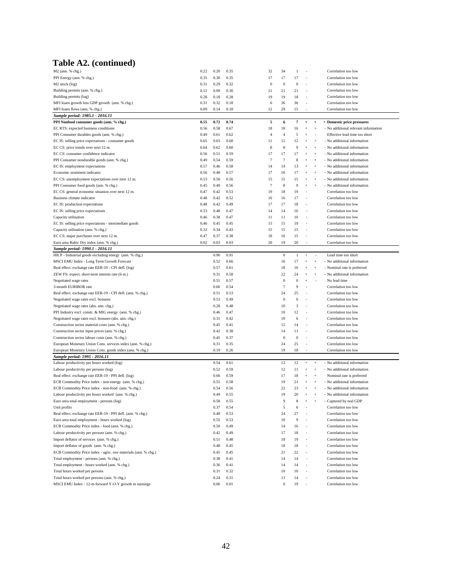### **Table A2. (continued)**

| M2 (ann. % chg.)                                               | 0.22 | 0.20 | 0.35 | 32             | 34               | 1            |                                  |                   | Correlation too low                  |
|----------------------------------------------------------------|------|------|------|----------------|------------------|--------------|----------------------------------|-------------------|--------------------------------------|
| PPI Energy (ann. % chg.)                                       | 0.35 | 0.30 | 0.35 | 17             | 17               | 17           | ×,                               |                   | Correlation too low                  |
| M <sub>2</sub> stock (log)                                     | 0.31 | 0.29 | 0.32 | $\bf{0}$       | $\boldsymbol{0}$ | $\bf{0}$     | ä,                               |                   | Correlation too low                  |
| Building permits (ann. % chg.)                                 | 0.12 | 0.09 | 0.30 | 21             | 21               | 21           | ٠                                |                   | Correlation too low                  |
| Building permits (log)                                         | 0.28 | 0.18 | 0.28 | 19             | 19               | 18           | ÷,                               |                   | Correlation too low                  |
| MFI loans growth less GDP growth (ann. % chg.)                 | 0.31 | 0.32 | 0.18 | 6              | 36               | 36           | i,                               |                   | Correlation too low                  |
| MFI loans flows (ann. % chg.)                                  | 0.09 | 0.14 | 0.18 | 12             | 29               | 15           | í,                               |                   | Correlation too low                  |
| Sample period: 1985.1 - 2016.11                                |      |      |      |                |                  |              |                                  |                   |                                      |
|                                                                |      |      |      | 5              |                  |              |                                  |                   |                                      |
| PPI Nonfood consumer goods (ann. % chg.)                       | 0.55 | 0.72 | 0.74 |                | 6                | 7            | $\begin{array}{c} + \end{array}$ | $\overline{1}$    | + Domestic price pressures           |
| EC RTS: expected business conditions                           | 0.56 | 0.58 | 0.67 | 18             | 18               | 16           |                                  |                   | - No additional relevant information |
| PPI Consumer durables goods (ann. % chg.)                      | 0.49 | 0.61 | 0.62 | $\overline{4}$ | $\overline{4}$   | 5            | $\ddot{}$                        | ÷,                | Effective lead time too short        |
| EC IS: selling price expectations - consumer goods             | 0.65 | 0.63 | 0.60 | 11             | 12               | 12           | ÷                                | $\overline{+}$    | - No additional information          |
| EC CS: price trends over next 12 m.                            | 0.64 | 0.62 | 0.60 | 8              | 8                | 9            | ÷                                | $\overline{+}$    | - No additional information          |
| EC CS: consumer confidence indicator                           | 0.56 | 0.51 | 0.59 | 17             | 17               | 17           | $\ddot{}$                        | $\overline{+}$    | - No additional information          |
| PPI Consumer nondurable goods (ann. % chg.)                    | 0.49 | 0.54 | 0.59 | $\overline{7}$ | $\overline{7}$   | 8            | ŧ                                | $\overline{+}$    | - No additional information          |
| EC IS: employment expectations                                 | 0.57 | 0.46 | 0.58 | 14             | 14               | 13           | $\ddot{}$                        | $\overline{+}$    | - No additional information          |
| Economic sentiment indicator                                   | 0.56 | 0.48 | 0.57 | 17             | 16               | 17           | $\ddot{}$                        | $\overline{+}$    | - No additional information          |
|                                                                |      |      |      |                | 15               |              | $\ddot{}$                        | $\overline{+}$    |                                      |
| EC CS: unemployment expectations over next 12 m.               | 0.53 | 0.50 | 0.56 | 15             |                  | 15           |                                  |                   | - No additional information          |
| PPI Consumer food goods (ann. % chg.)                          | 0.45 | 0.49 | 0.56 | $\overline{7}$ | 8                | 9            | $\ddot{}$                        | $\overline{+}$    | - No additional information          |
| EC CS: general economic situation over next 12 m.              | 0.47 | 0.42 | 0.53 | 19             | 18               | 19           | ×,                               |                   | Correlation too low                  |
| Business climate indicator                                     | 0.48 | 0.42 | 0.52 | 16             | 16               | 17           | ×,                               |                   | Correlation too low                  |
| EC IS: production expectations                                 | 0.48 | 0.42 | 0.49 | 17             | 17               | 18           |                                  |                   | Correlation too low                  |
| EC IS: selling price expectations                              | 0.53 | 0.48 | 0.47 | 14             | 14               | 16           | $\sim$                           |                   | Correlation too low                  |
| Capacity utilisation                                           | 0.46 | 0.38 | 0.47 | 11             | 11               | 10           | ٠                                |                   | Correlation too low                  |
| EC IS: selling price expectations - intermediate goods         | 0.46 | 0.45 | 0.45 | 15             | 15               | 19           | ÷                                |                   | Correlation too low                  |
| Capacity utilisation (ann. % chg.)                             | 0.32 | 0.34 | 0.43 | 15             | 15               | 15           | ×,                               |                   | Correlation too low                  |
| EC CS: major purchases over next 12 m.                         | 0.47 | 0.37 | 0.38 | 18             | 16               | 15           | í,                               |                   | Correlation too low                  |
| Euro area Baltic Dry index (ann. % chg.)                       | 0.02 | 0.03 | 0.03 | 20             | 19               | 20           | í,                               |                   | Correlation too low                  |
|                                                                |      |      |      |                |                  |              |                                  |                   |                                      |
| Sample period: 1990.1 - 2016.11                                |      |      |      |                |                  |              |                                  |                   |                                      |
| HICP - Industrial goods excluding energy (ann. % chg.)         |      | 0.90 | 0.91 |                | $\boldsymbol{0}$ | $\mathbf{1}$ | $^{\mathrm{+}}$                  | ÷,                | Lead time too short                  |
| MSCI EMU Index - Long Term Growth Forecast                     |      | 0.52 | 0.66 |                | 16               | 17           | $\ddot{}$                        | $\overline{+}$    | - No additional information          |
| Real effect. exchange rate EER-19 - CPI defl. (log)            |      | 0.57 | 0.61 |                | 18               | 16           | $\ddot{}$                        | $\overline{+}$    | - Nominal rate is preferred          |
| ZEW FS: expect. short-term interest rate (6 m.)                |      | 0.31 | 0.58 |                | 22               | 24           | $\ddot{}$                        | $\overline{+}$    | - No additional information          |
| Negotiated wage rates                                          |      | 0.51 | 0.57 |                | $\boldsymbol{0}$ | $\bf{0}$     | $^{+}$                           |                   | No lead time                         |
| 3-month EURIBOR rate                                           |      | 0.66 | 0.54 |                | $\overline{7}$   | 9            | í,                               |                   | Correlation too low                  |
| Real effect. exchange rate EER-19 - CPI defl. (ann. % chg.)    |      | 0.51 | 0.53 |                | 24               | 25           | ä,                               |                   | Correlation too low                  |
| Negotiated wage rates excl. bonuses                            |      | 0.53 | 0.49 |                | $\boldsymbol{0}$ | $\bf{0}$     | ×,                               |                   | Correlation too low                  |
| Negotiated wage rates (abs. ann. chg.)                         |      | 0.28 | 0.48 |                | 10               | 3            | í,                               |                   | Correlation too low                  |
|                                                                |      |      |      |                |                  |              |                                  |                   |                                      |
|                                                                |      |      |      |                |                  |              |                                  |                   |                                      |
| PPI Industry excl. constr. & MIG energy (ann. % chg.)          |      | 0.46 | 0.47 |                | 10               | 12           | ÷,                               |                   | Correlation too low                  |
| Negotiated wage rates excl. bonuses (abs. ann. chg.)           |      | 0.31 | 0.42 |                | 10               | 6            | ×,                               |                   | Correlation too low                  |
| Construction sector material costs (ann. % chg.)               |      | 0.45 | 0.41 |                | 12               | 14           | ÷,                               |                   | Correlation too low                  |
| Construction sector input prices (ann. % chg.)                 |      | 0.42 | 0.38 |                | 14               | 11           | ÷                                |                   | Correlation too low                  |
| Construction sector labour costs (ann. % chg.)                 |      | 0.45 | 0.37 |                | $\boldsymbol{0}$ | $\mathbf{0}$ | ÷,                               |                   | Correlation too low                  |
| European Monetary Union Cons. services index (ann. % chg.)     |      | 0.31 | 0.35 |                | 24               | 25           | ÷                                |                   | Correlation too low                  |
| European Monetary Union Cons. goods index (ann. % chg.)        |      | 0.19 | 0.26 |                | 19               | 18           |                                  |                   | Correlation too low                  |
| Sample period: 1995 - 2016.11                                  |      |      |      |                |                  |              |                                  |                   |                                      |
|                                                                |      |      |      |                |                  |              | $+$                              | $\overline{+}$    |                                      |
| Labour productivity per hours worked (log)                     |      | 0.54 | 0.61 |                | 12               | 12           | ÷                                | $\overline{+}$    | - No additional information          |
| Labour productivity per persons (log)                          |      | 0.52 | 0.59 |                | 12               | 11           |                                  |                   | - No additional information          |
| Real effect. exchange rate EER-19 - PPI defl. (log)            |      | 0.66 | 0.59 |                | 17               | 18           | $\ddot{}$                        | $\qquad \qquad +$ | Nominal rate is preferred            |
| ECB Commodity Price index - non-energy (ann. % chg.)           |      | 0.55 | 0.58 |                | 19               | 21           | $\ddot{}$                        | $\overline{+}$    | - No additional information          |
| ECB Commodity Price index - non-food (ann. % chg.)             |      | 0.54 | 0.56 |                | 22               | 23           | $\ddot{}$                        | $\overline{+}$    | - No additional information          |
| Labour productivity per hours worked (ann. % chg.)             |      | 0.49 | 0.55 |                | 19               | 20           | $\ddot{}$                        | $\overline{+}$    | - No additional information          |
| Euro area total employment - persons (log)                     |      | 0.58 | 0.55 |                | 9                | 8            | $^{+}$                           | $^{+}$            | - Captured by real GDP               |
| Unit profits                                                   |      | 0.37 | 0.54 |                | 5                | 6            | ÷,                               |                   | Correlation too low                  |
| Real effect. exchange rate EER-19 - PPI defl. (ann. % chg.)    |      | 0.48 | 0.53 |                | 24               | 27           |                                  |                   | Correlation too low                  |
| Euro area total employment - hours worked (log)                |      | 0.55 | 0.53 |                | 10               | 9            | ٠                                |                   | Correlation too low                  |
| ECB Commodity Price index - food (ann. % chg.)                 |      | 0.50 | 0.49 |                | 14               | 16           | ٠                                |                   | Correlation too low                  |
|                                                                |      |      |      |                | 17               |              | $\sim$                           |                   |                                      |
| Labour productivity per persons (ann. % chg.)                  |      | 0.42 | 0.49 |                |                  | 18           |                                  |                   | Correlation too low                  |
| Import deflator of services (ann. % chg.)                      |      | 0.51 | 0.48 |                | 18               | 19           | ٠                                |                   | Correlation too low                  |
| Import deflator of goods (ann. % chg.)                         |      | 0.48 | 0.45 |                | 18               | 18           | ÷,                               |                   | Correlation too low                  |
| ECB Commodity Price index - agric. raw materials (ann. % chg.) |      | 0.45 | 0.45 |                | 21               | 22           | $\bar{a}$                        |                   | Correlation too low                  |
| Total employment - persons (ann. % chg.)                       |      | 0.38 | 0.41 |                | 14               | 14           | $\bar{a}$                        |                   | Correlation too low                  |
| Total employment - hours worked (ann. % chg.)                  |      | 0.36 | 0.41 |                | 14               | 14           | ÷                                |                   | Correlation too low                  |
| Total hours worked per persons                                 |      | 0.31 | 0.32 |                | 10               | 10           | ÷,                               |                   | Correlation too low                  |
| Total hours worked per persons (ann. % chg.)                   |      | 0.24 | 0.31 |                | 13               | 14           | ÷                                |                   | Correlation too low                  |